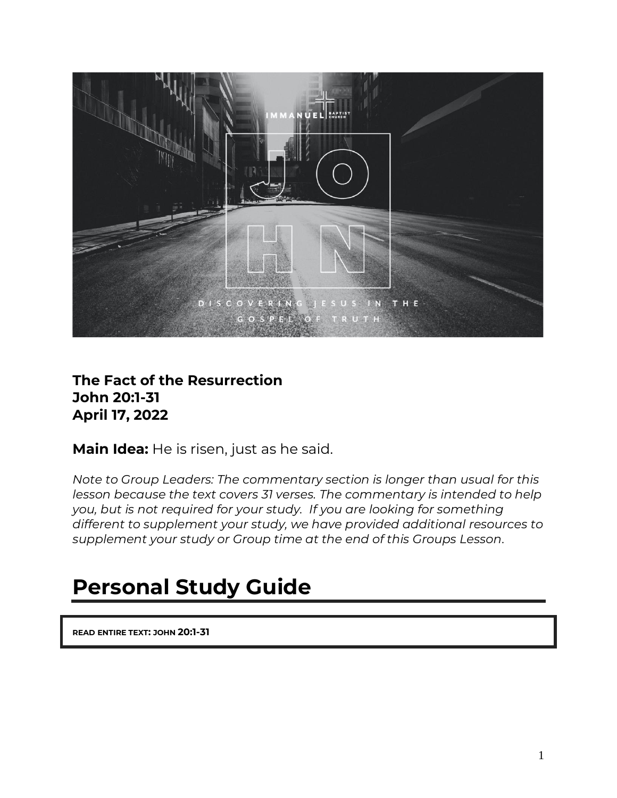

**The Fact of the Resurrection John 20:1-31 April 17, 2022**

**Main Idea:** He is risen, just as he said.

*Note to Group Leaders: The commentary section is longer than usual for this lesson because the text covers 31 verses. The commentary is intended to help you, but is not required for your study. If you are looking for something different to supplement your study, we have provided additional resources to supplement your study or Group time at the end of this Groups Lesson.* 

# **Personal Study Guide**

**READ ENTIRE TEXT: JOHN 20:1-31**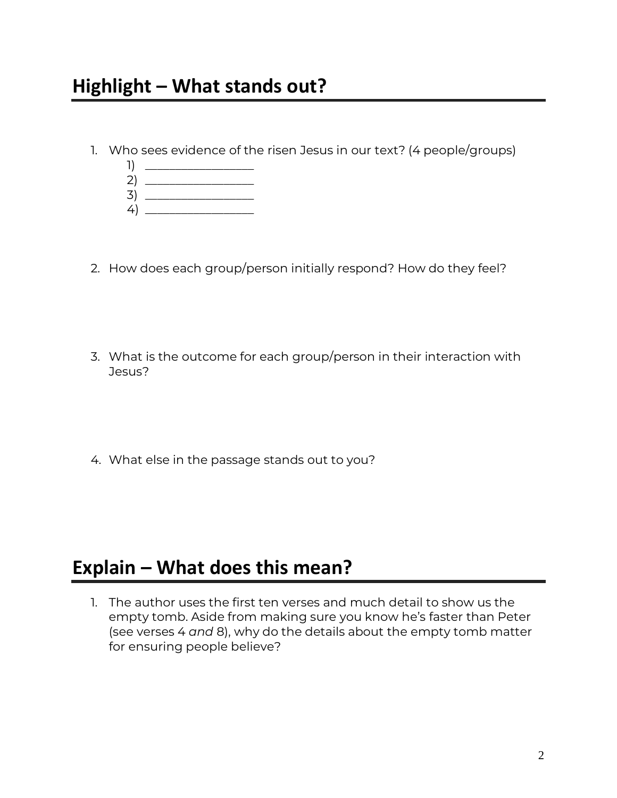- 1. Who sees evidence of the risen Jesus in our text? (4 people/groups)
	- 1) \_\_\_\_\_\_\_\_\_\_\_\_\_\_\_\_\_\_
	- 2) \_\_\_\_\_\_\_\_\_\_\_\_\_\_\_\_\_\_
	- 3) \_\_\_\_\_\_\_\_\_\_\_\_\_\_\_\_\_\_
	- $\left( 4\right)$
- 2. How does each group/person initially respond? How do they feel?
- 3. What is the outcome for each group/person in their interaction with Jesus?
- 4. What else in the passage stands out to you?

# **Explain – What does this mean?**

1. The author uses the first ten verses and much detail to show us the empty tomb. Aside from making sure you know he's faster than Peter (see verses 4 *and* 8), why do the details about the empty tomb matter for ensuring people believe?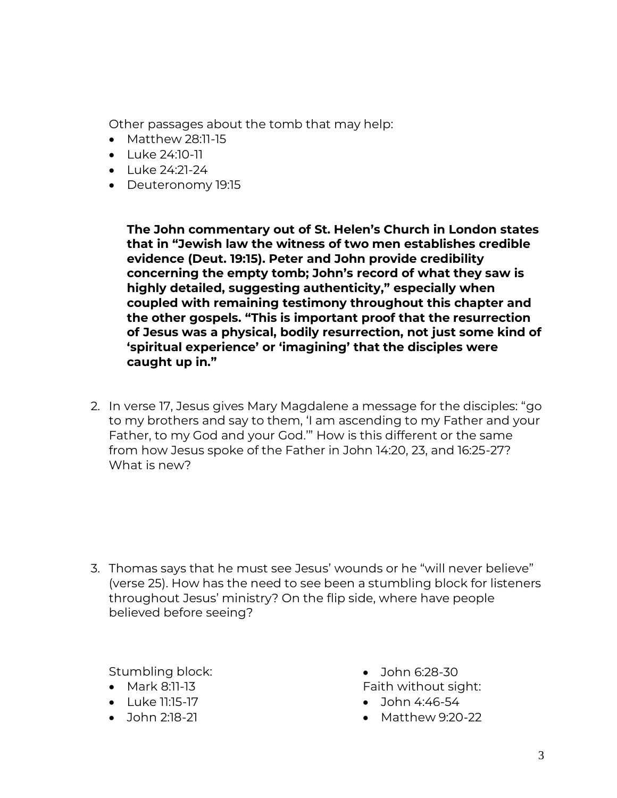Other passages about the tomb that may help:

- Matthew 28:11-15
- Luke 24:10-11
- Luke 24:21-24
- Deuteronomy 19:15

**The John commentary out of St. Helen's Church in London states that in "Jewish law the witness of two men establishes credible evidence (Deut. 19:15). Peter and John provide credibility concerning the empty tomb; John's record of what they saw is highly detailed, suggesting authenticity," especially when coupled with remaining testimony throughout this chapter and the other gospels. "This is important proof that the resurrection of Jesus was a physical, bodily resurrection, not just some kind of 'spiritual experience' or 'imagining' that the disciples were caught up in."**

2. In verse 17, Jesus gives Mary Magdalene a message for the disciples: "go to my brothers and say to them, 'I am ascending to my Father and your Father, to my God and your God.'" How is this different or the same from how Jesus spoke of the Father in John 14:20, 23, and 16:25-27? What is new?

3. Thomas says that he must see Jesus' wounds or he "will never believe" (verse 25). How has the need to see been a stumbling block for listeners throughout Jesus' ministry? On the flip side, where have people believed before seeing?

Stumbling block:

- Mark 8:11-13
- Luke 11:15-17
- John 2:18-21

• John 6:28-30 Faith without sight:

- John 4:46-54
- Matthew 9:20-22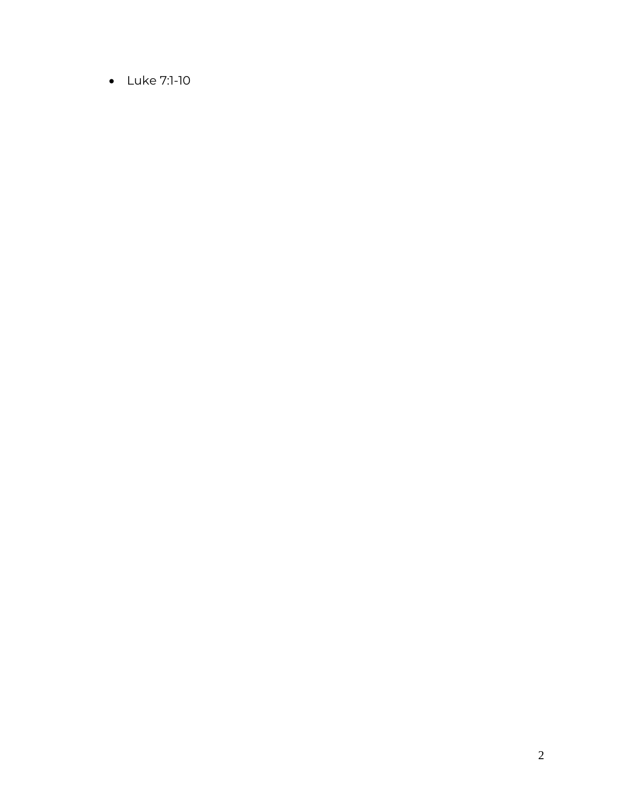• Luke 7:1-10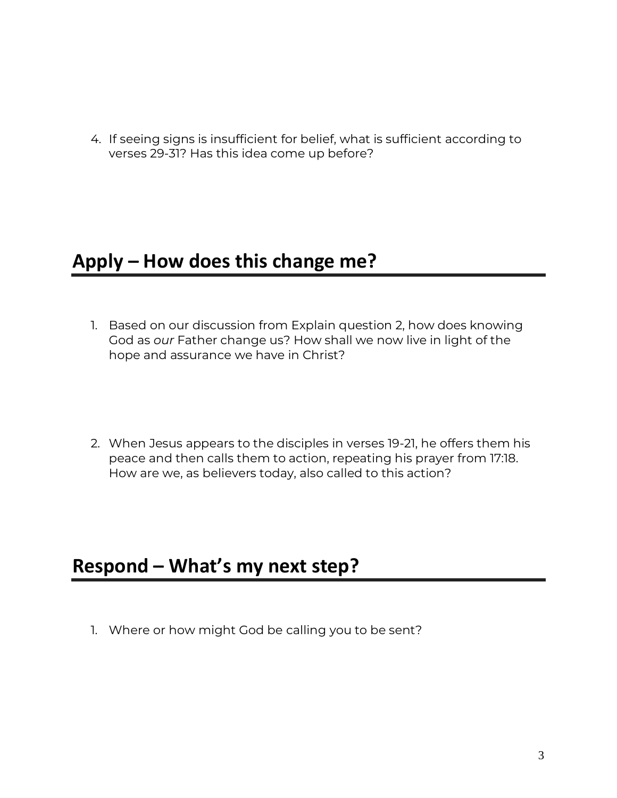4. If seeing signs is insufficient for belief, what is sufficient according to verses 29-31? Has this idea come up before?

# **Apply – How does this change me?**

- 1. Based on our discussion from Explain question 2, how does knowing God as *our* Father change us? How shall we now live in light of the hope and assurance we have in Christ?
- 2. When Jesus appears to the disciples in verses 19-21, he offers them his peace and then calls them to action, repeating his prayer from 17:18. How are we, as believers today, also called to this action?

# **Respond – What's my next step?**

1. Where or how might God be calling you to be sent?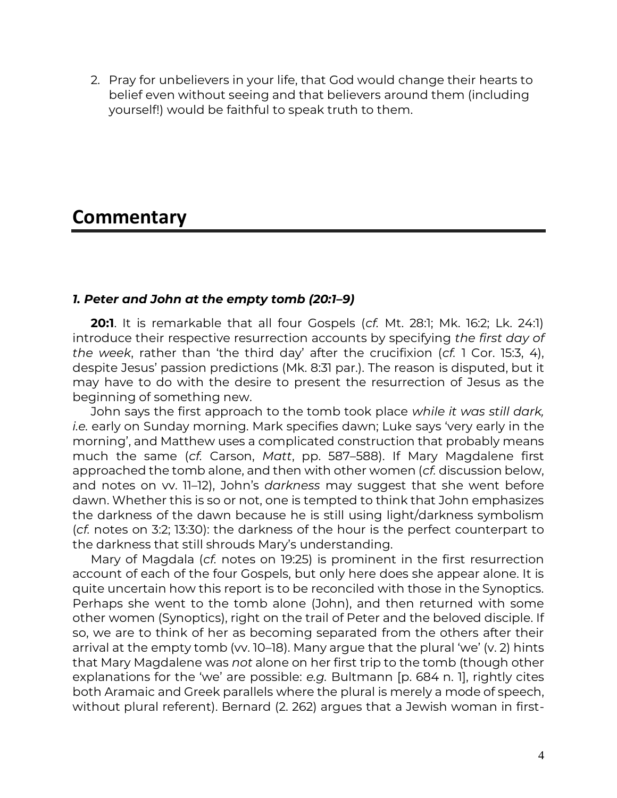2. Pray for unbelievers in your life, that God would change their hearts to belief even without seeing and that believers around them (including yourself!) would be faithful to speak truth to them.

# **Commentary**

#### *1. Peter and John at the empty tomb (20:1–9)*

**20:1**. It is remarkable that all four Gospels (*cf.* Mt. 28:1; Mk. 16:2; Lk. 24:1) introduce their respective resurrection accounts by specifying *the first day of the week*, rather than 'the third day' after the crucifixion (*cf.* 1 Cor. 15:3, 4), despite Jesus' passion predictions (Mk. 8:31 par.). The reason is disputed, but it may have to do with the desire to present the resurrection of Jesus as the beginning of something new.

John says the first approach to the tomb took place *while it was still dark, i.e.* early on Sunday morning. Mark specifies dawn; Luke says 'very early in the morning', and Matthew uses a complicated construction that probably means much the same (*cf.* Carson, *Matt*, pp. 587–588). If Mary Magdalene first approached the tomb alone, and then with other women (*cf.* discussion below, and notes on vv. 11–12), John's *darkness* may suggest that she went before dawn. Whether this is so or not, one is tempted to think that John emphasizes the darkness of the dawn because he is still using light/darkness symbolism (*cf.* notes on 3:2; 13:30): the darkness of the hour is the perfect counterpart to the darkness that still shrouds Mary's understanding.

Mary of Magdala (*cf.* notes on 19:25) is prominent in the first resurrection account of each of the four Gospels, but only here does she appear alone. It is quite uncertain how this report is to be reconciled with those in the Synoptics. Perhaps she went to the tomb alone (John), and then returned with some other women (Synoptics), right on the trail of Peter and the beloved disciple. If so, we are to think of her as becoming separated from the others after their arrival at the empty tomb (vv. 10–18). Many argue that the plural 'we' (v. 2) hints that Mary Magdalene was *not* alone on her first trip to the tomb (though other explanations for the 'we' are possible: *e.g.* Bultmann [p. 684 n. 1], rightly cites both Aramaic and Greek parallels where the plural is merely a mode of speech, without plural referent). Bernard (2. 262) argues that a Jewish woman in first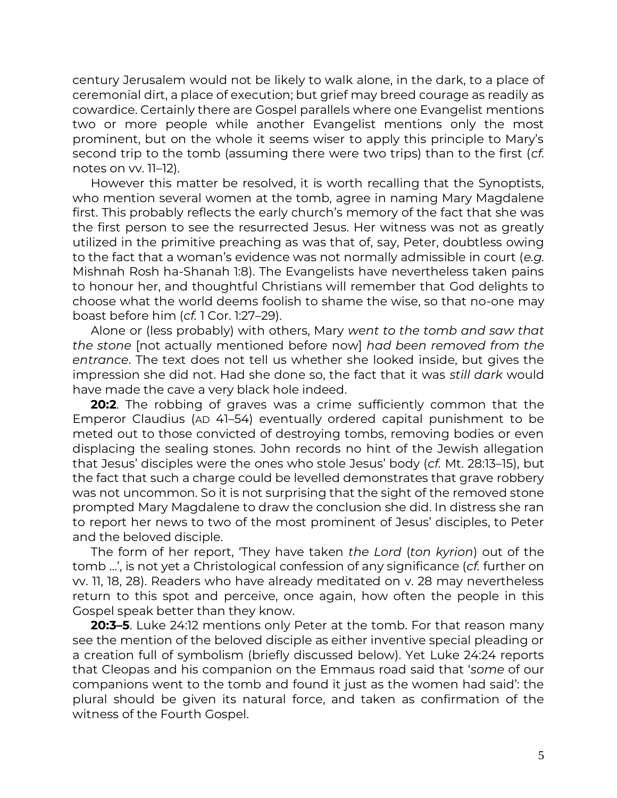century Jerusalem would not be likely to walk alone, in the dark, to a place of ceremonial dirt, a place of execution; but grief may breed courage as readily as cowardice. Certainly there are Gospel parallels where one Evangelist mentions two or more people while another Evangelist mentions only the most prominent, but on the whole it seems wiser to apply this principle to Mary's second trip to the tomb (assuming there were two trips) than to the first (*cf.* notes on vv. 11–12).

However this matter be resolved, it is worth recalling that the Synoptists, who mention several women at the tomb, agree in naming Mary Magdalene first. This probably reflects the early church's memory of the fact that she was the first person to see the resurrected Jesus. Her witness was not as greatly utilized in the primitive preaching as was that of, say, Peter, doubtless owing to the fact that a woman's evidence was not normally admissible in court (*e.g.* Mishnah Rosh ha-Shanah 1:8). The Evangelists have nevertheless taken pains to honour her, and thoughtful Christians will remember that God delights to choose what the world deems foolish to shame the wise, so that no-one may boast before him (*cf.* 1 Cor. 1:27–29).

Alone or (less probably) with others, Mary *went to the tomb and saw that the stone* [not actually mentioned before now] *had been removed from the entrance*. The text does not tell us whether she looked inside, but gives the impression she did not. Had she done so, the fact that it was *still dark* would have made the cave a very black hole indeed.

**20:2**. The robbing of graves was a crime sufficiently common that the Emperor Claudius (AD 41–54) eventually ordered capital punishment to be meted out to those convicted of destroying tombs, removing bodies or even displacing the sealing stones. John records no hint of the Jewish allegation that Jesus' disciples were the ones who stole Jesus' body (*cf.* Mt. 28:13–15), but the fact that such a charge could be levelled demonstrates that grave robbery was not uncommon. So it is not surprising that the sight of the removed stone prompted Mary Magdalene to draw the conclusion she did. In distress she ran to report her news to two of the most prominent of Jesus' disciples, to Peter and the beloved disciple.

The form of her report, 'They have taken *the Lord* (*ton kyrion*) out of the tomb …', is not yet a Christological confession of any significance (*cf.* further on vv. 11, 18, 28). Readers who have already meditated on v. 28 may nevertheless return to this spot and perceive, once again, how often the people in this Gospel speak better than they know.

**20:3–5**. Luke 24:12 mentions only Peter at the tomb. For that reason many see the mention of the beloved disciple as either inventive special pleading or a creation full of symbolism (briefly discussed below). Yet Luke 24:24 reports that Cleopas and his companion on the Emmaus road said that '*some* of our companions went to the tomb and found it just as the women had said': the plural should be given its natural force, and taken as confirmation of the witness of the Fourth Gospel.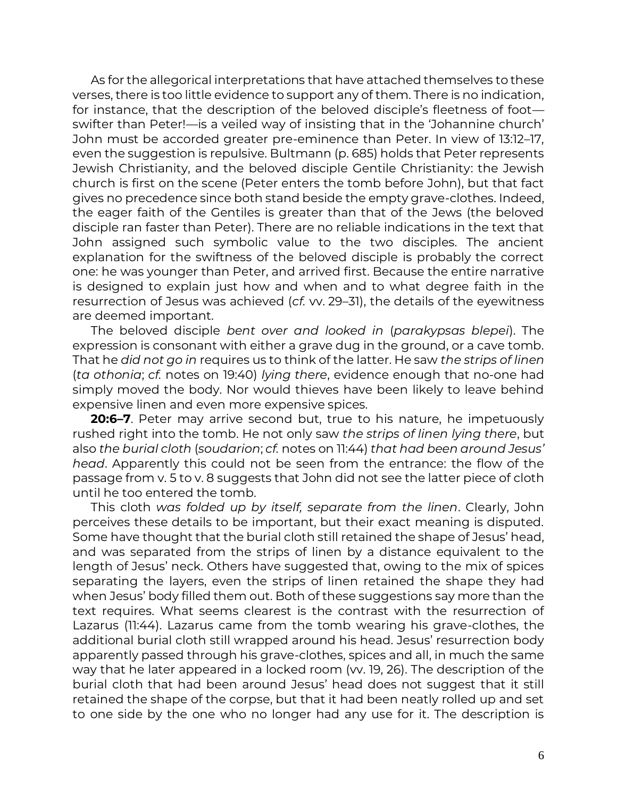As for the allegorical interpretations that have attached themselves to these verses, there is too little evidence to support any of them. There is no indication, for instance, that the description of the beloved disciple's fleetness of foot swifter than Peter!—is a veiled way of insisting that in the 'Johannine church' John must be accorded greater pre-eminence than Peter. In view of 13:12–17, even the suggestion is repulsive. Bultmann (p. 685) holds that Peter represents Jewish Christianity, and the beloved disciple Gentile Christianity: the Jewish church is first on the scene (Peter enters the tomb before John), but that fact gives no precedence since both stand beside the empty grave-clothes. Indeed, the eager faith of the Gentiles is greater than that of the Jews (the beloved disciple ran faster than Peter). There are no reliable indications in the text that John assigned such symbolic value to the two disciples. The ancient explanation for the swiftness of the beloved disciple is probably the correct one: he was younger than Peter, and arrived first. Because the entire narrative is designed to explain just how and when and to what degree faith in the resurrection of Jesus was achieved (*cf.* vv. 29–31), the details of the eyewitness are deemed important.

The beloved disciple *bent over and looked in* (*parakypsas blepei*). The expression is consonant with either a grave dug in the ground, or a cave tomb. That he *did not go in* requires us to think of the latter. He saw *the strips of linen* (*ta othonia*; *cf.* notes on 19:40) *lying there*, evidence enough that no-one had simply moved the body. Nor would thieves have been likely to leave behind expensive linen and even more expensive spices.

**20:6–7**. Peter may arrive second but, true to his nature, he impetuously rushed right into the tomb. He not only saw *the strips of linen lying there*, but also *the burial cloth* (*soudarion*; *cf.* notes on 11:44) *that had been around Jesus' head*. Apparently this could not be seen from the entrance: the flow of the passage from v. 5 to v. 8 suggests that John did not see the latter piece of cloth until he too entered the tomb.

This cloth *was folded up by itself, separate from the linen*. Clearly, John perceives these details to be important, but their exact meaning is disputed. Some have thought that the burial cloth still retained the shape of Jesus' head, and was separated from the strips of linen by a distance equivalent to the length of Jesus' neck. Others have suggested that, owing to the mix of spices separating the layers, even the strips of linen retained the shape they had when Jesus' body filled them out. Both of these suggestions say more than the text requires. What seems clearest is the contrast with the resurrection of Lazarus (11:44). Lazarus came from the tomb wearing his grave-clothes, the additional burial cloth still wrapped around his head. Jesus' resurrection body apparently passed through his grave-clothes, spices and all, in much the same way that he later appeared in a locked room (vv. 19, 26). The description of the burial cloth that had been around Jesus' head does not suggest that it still retained the shape of the corpse, but that it had been neatly rolled up and set to one side by the one who no longer had any use for it. The description is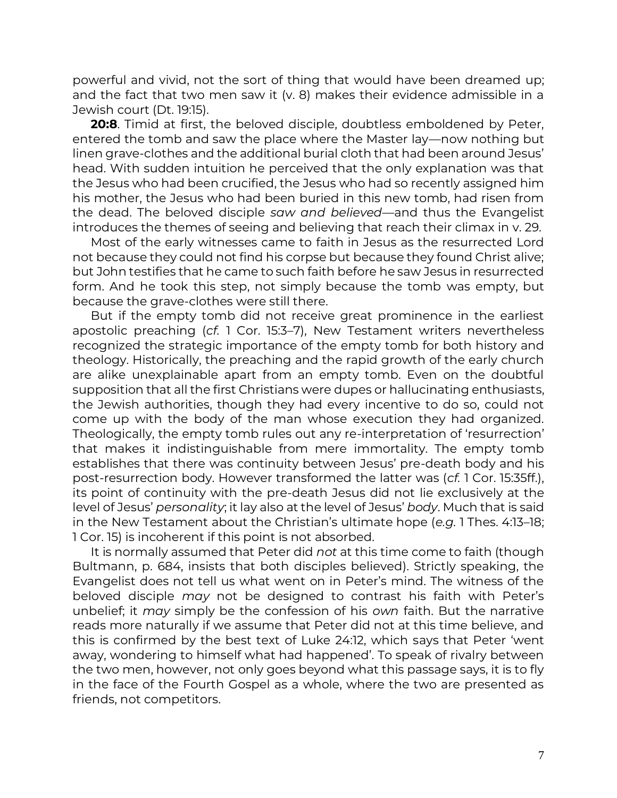powerful and vivid, not the sort of thing that would have been dreamed up; and the fact that two men saw it (v. 8) makes their evidence admissible in a Jewish court (Dt. 19:15).

**20:8**. Timid at first, the beloved disciple, doubtless emboldened by Peter, entered the tomb and saw the place where the Master lay—now nothing but linen grave-clothes and the additional burial cloth that had been around Jesus' head. With sudden intuition he perceived that the only explanation was that the Jesus who had been crucified, the Jesus who had so recently assigned him his mother, the Jesus who had been buried in this new tomb, had risen from the dead. The beloved disciple *saw and believed*—and thus the Evangelist introduces the themes of seeing and believing that reach their climax in v. 29.

Most of the early witnesses came to faith in Jesus as the resurrected Lord not because they could not find his corpse but because they found Christ alive; but John testifies that he came to such faith before he saw Jesus in resurrected form. And he took this step, not simply because the tomb was empty, but because the grave-clothes were still there.

But if the empty tomb did not receive great prominence in the earliest apostolic preaching (*cf.* 1 Cor. 15:3–7), New Testament writers nevertheless recognized the strategic importance of the empty tomb for both history and theology. Historically, the preaching and the rapid growth of the early church are alike unexplainable apart from an empty tomb. Even on the doubtful supposition that all the first Christians were dupes or hallucinating enthusiasts, the Jewish authorities, though they had every incentive to do so, could not come up with the body of the man whose execution they had organized. Theologically, the empty tomb rules out any re-interpretation of 'resurrection' that makes it indistinguishable from mere immortality. The empty tomb establishes that there was continuity between Jesus' pre-death body and his post-resurrection body. However transformed the latter was (*cf.* 1 Cor. 15:35ff.), its point of continuity with the pre-death Jesus did not lie exclusively at the level of Jesus' *personality*; it lay also at the level of Jesus' *body*. Much that is said in the New Testament about the Christian's ultimate hope (*e.g.* 1 Thes. 4:13–18; 1 Cor. 15) is incoherent if this point is not absorbed.

It is normally assumed that Peter did *not* at this time come to faith (though Bultmann, p. 684, insists that both disciples believed). Strictly speaking, the Evangelist does not tell us what went on in Peter's mind. The witness of the beloved disciple *may* not be designed to contrast his faith with Peter's unbelief; it *may* simply be the confession of his *own* faith. But the narrative reads more naturally if we assume that Peter did not at this time believe, and this is confirmed by the best text of Luke 24:12, which says that Peter 'went away, wondering to himself what had happened'. To speak of rivalry between the two men, however, not only goes beyond what this passage says, it is to fly in the face of the Fourth Gospel as a whole, where the two are presented as friends, not competitors.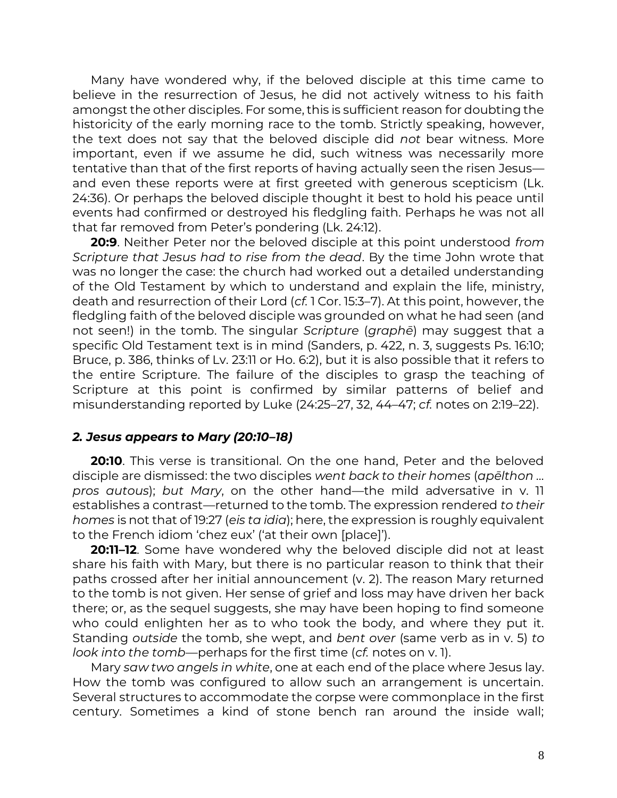Many have wondered why, if the beloved disciple at this time came to believe in the resurrection of Jesus, he did not actively witness to his faith amongst the other disciples. For some, this is sufficient reason for doubting the historicity of the early morning race to the tomb. Strictly speaking, however, the text does not say that the beloved disciple did *not* bear witness. More important, even if we assume he did, such witness was necessarily more tentative than that of the first reports of having actually seen the risen Jesus and even these reports were at first greeted with generous scepticism (Lk. 24:36). Or perhaps the beloved disciple thought it best to hold his peace until events had confirmed or destroyed his fledgling faith. Perhaps he was not all that far removed from Peter's pondering (Lk. 24:12).

**20:9**. Neither Peter nor the beloved disciple at this point understood *from Scripture that Jesus had to rise from the dead*. By the time John wrote that was no longer the case: the church had worked out a detailed understanding of the Old Testament by which to understand and explain the life, ministry, death and resurrection of their Lord (*cf.* 1 Cor. 15:3–7). At this point, however, the fledgling faith of the beloved disciple was grounded on what he had seen (and not seen!) in the tomb. The singular *Scripture* (*graphē*) may suggest that a specific Old Testament text is in mind (Sanders, p. 422, n. 3, suggests Ps. 16:10; Bruce, p. 386, thinks of Lv. 23:11 or Ho. 6:2), but it is also possible that it refers to the entire Scripture. The failure of the disciples to grasp the teaching of Scripture at this point is confirmed by similar patterns of belief and misunderstanding reported by Luke (24:25–27, 32, 44–47; *cf.* notes on 2:19–22).

#### *2. Jesus appears to Mary (20:10–18)*

**20:10**. This verse is transitional. On the one hand, Peter and the beloved disciple are dismissed: the two disciples *went back to their homes* (*apēlthon … pros autous*); *but Mary*, on the other hand—the mild adversative in v. 11 establishes a contrast—returned to the tomb. The expression rendered *to their homes* is not that of 19:27 (*eis ta idia*); here, the expression is roughly equivalent to the French idiom 'chez eux' ('at their own [place]').

**20:11–12**. Some have wondered why the beloved disciple did not at least share his faith with Mary, but there is no particular reason to think that their paths crossed after her initial announcement (v. 2). The reason Mary returned to the tomb is not given. Her sense of grief and loss may have driven her back there; or, as the sequel suggests, she may have been hoping to find someone who could enlighten her as to who took the body, and where they put it. Standing *outside* the tomb, she wept, and *bent over* (same verb as in v. 5) *to look into the tomb*—perhaps for the first time (*cf.* notes on v. 1).

Mary *saw two angels in white*, one at each end of the place where Jesus lay. How the tomb was configured to allow such an arrangement is uncertain. Several structures to accommodate the corpse were commonplace in the first century. Sometimes a kind of stone bench ran around the inside wall;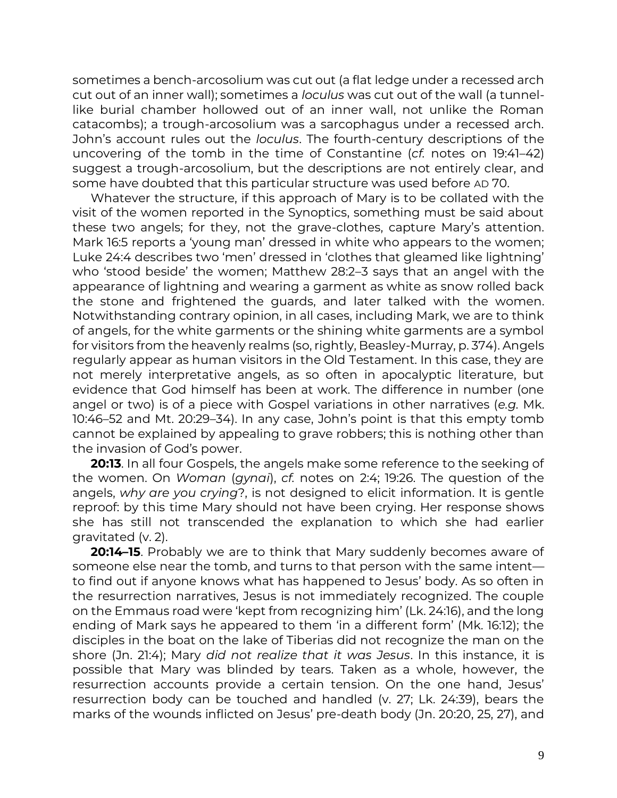sometimes a bench-arcosolium was cut out (a flat ledge under a recessed arch cut out of an inner wall); sometimes a *loculus* was cut out of the wall (a tunnellike burial chamber hollowed out of an inner wall, not unlike the Roman catacombs); a trough-arcosolium was a sarcophagus under a recessed arch. John's account rules out the *loculus*. The fourth-century descriptions of the uncovering of the tomb in the time of Constantine (*cf.* notes on 19:41–42) suggest a trough-arcosolium, but the descriptions are not entirely clear, and some have doubted that this particular structure was used before AD 70.

Whatever the structure, if this approach of Mary is to be collated with the visit of the women reported in the Synoptics, something must be said about these two angels; for they, not the grave-clothes, capture Mary's attention. Mark 16:5 reports a 'young man' dressed in white who appears to the women; Luke 24:4 describes two 'men' dressed in 'clothes that gleamed like lightning' who 'stood beside' the women; Matthew 28:2–3 says that an angel with the appearance of lightning and wearing a garment as white as snow rolled back the stone and frightened the guards, and later talked with the women. Notwithstanding contrary opinion, in all cases, including Mark, we are to think of angels, for the white garments or the shining white garments are a symbol for visitors from the heavenly realms (so, rightly, Beasley-Murray, p. 374). Angels regularly appear as human visitors in the Old Testament. In this case, they are not merely interpretative angels, as so often in apocalyptic literature, but evidence that God himself has been at work. The difference in number (one angel or two) is of a piece with Gospel variations in other narratives (*e.g.* Mk. 10:46–52 and Mt. 20:29–34). In any case, John's point is that this empty tomb cannot be explained by appealing to grave robbers; this is nothing other than the invasion of God's power.

**20:13**. In all four Gospels, the angels make some reference to the seeking of the women. On *Woman* (*gynai*), *cf.* notes on 2:4; 19:26. The question of the angels, *why are you crying*?, is not designed to elicit information. It is gentle reproof: by this time Mary should not have been crying. Her response shows she has still not transcended the explanation to which she had earlier gravitated (v. 2).

**20:14–15**. Probably we are to think that Mary suddenly becomes aware of someone else near the tomb, and turns to that person with the same intent to find out if anyone knows what has happened to Jesus' body. As so often in the resurrection narratives, Jesus is not immediately recognized. The couple on the Emmaus road were 'kept from recognizing him' (Lk. 24:16), and the long ending of Mark says he appeared to them 'in a different form' (Mk. 16:12); the disciples in the boat on the lake of Tiberias did not recognize the man on the shore (Jn. 21:4); Mary *did not realize that it was Jesus*. In this instance, it is possible that Mary was blinded by tears. Taken as a whole, however, the resurrection accounts provide a certain tension. On the one hand, Jesus' resurrection body can be touched and handled (v. 27; Lk. 24:39), bears the marks of the wounds inflicted on Jesus' pre-death body (Jn. 20:20, 25, 27), and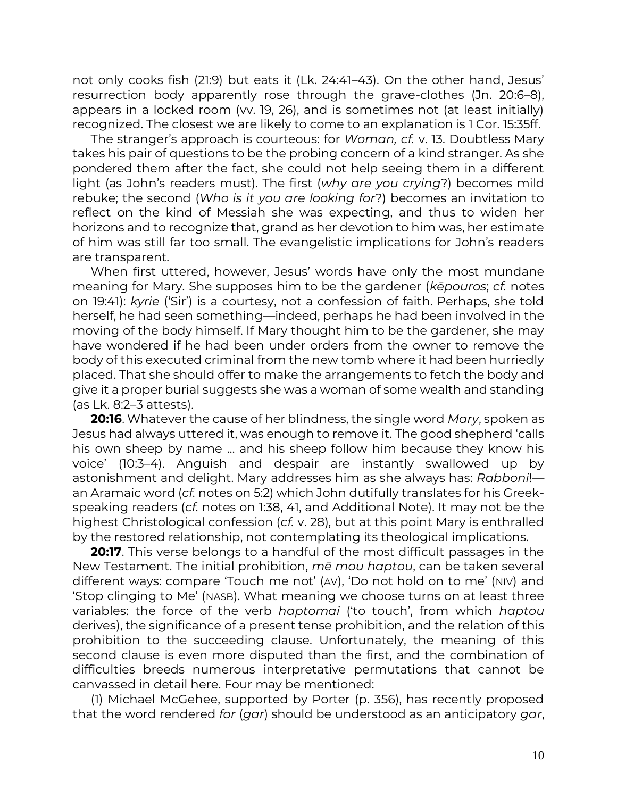not only cooks fish (21:9) but eats it (Lk. 24:41–43). On the other hand, Jesus' resurrection body apparently rose through the grave-clothes (Jn. 20:6–8), appears in a locked room (vv. 19, 26), and is sometimes not (at least initially) recognized. The closest we are likely to come to an explanation is 1 Cor. 15:35ff.

The stranger's approach is courteous: for *Woman, cf.* v. 13. Doubtless Mary takes his pair of questions to be the probing concern of a kind stranger. As she pondered them after the fact, she could not help seeing them in a different light (as John's readers must). The first (*why are you crying*?) becomes mild rebuke; the second (*Who is it you are looking for*?) becomes an invitation to reflect on the kind of Messiah she was expecting, and thus to widen her horizons and to recognize that, grand as her devotion to him was, her estimate of him was still far too small. The evangelistic implications for John's readers are transparent.

When first uttered, however, Jesus' words have only the most mundane meaning for Mary. She supposes him to be the gardener (*kēpouros*; *cf.* notes on 19:41): *kyrie* ('Sir') is a courtesy, not a confession of faith. Perhaps, she told herself, he had seen something—indeed, perhaps he had been involved in the moving of the body himself. If Mary thought him to be the gardener, she may have wondered if he had been under orders from the owner to remove the body of this executed criminal from the new tomb where it had been hurriedly placed. That she should offer to make the arrangements to fetch the body and give it a proper burial suggests she was a woman of some wealth and standing (as Lk. 8:2–3 attests).

**20:16**. Whatever the cause of her blindness, the single word *Mary*, spoken as Jesus had always uttered it, was enough to remove it. The good shepherd 'calls his own sheep by name … and his sheep follow him because they know his voice' (10:3–4). Anguish and despair are instantly swallowed up by astonishment and delight. Mary addresses him as she always has: *Rabboni*! an Aramaic word (*cf.* notes on 5:2) which John dutifully translates for his Greekspeaking readers (*cf.* notes on 1:38, 41, and Additional Note). It may not be the highest Christological confession (*cf.* v. 28), but at this point Mary is enthralled by the restored relationship, not contemplating its theological implications.

**20:17**. This verse belongs to a handful of the most difficult passages in the New Testament. The initial prohibition, *mē mou haptou*, can be taken several different ways: compare 'Touch me not' (AV), 'Do not hold on to me' (NIV) and 'Stop clinging to Me' (NASB). What meaning we choose turns on at least three variables: the force of the verb *haptomai* ('to touch', from which *haptou* derives), the significance of a present tense prohibition, and the relation of this prohibition to the succeeding clause. Unfortunately, the meaning of this second clause is even more disputed than the first, and the combination of difficulties breeds numerous interpretative permutations that cannot be canvassed in detail here. Four may be mentioned:

(1) Michael McGehee, supported by Porter (p. 356), has recently proposed that the word rendered *for* (*gar*) should be understood as an anticipatory *gar*,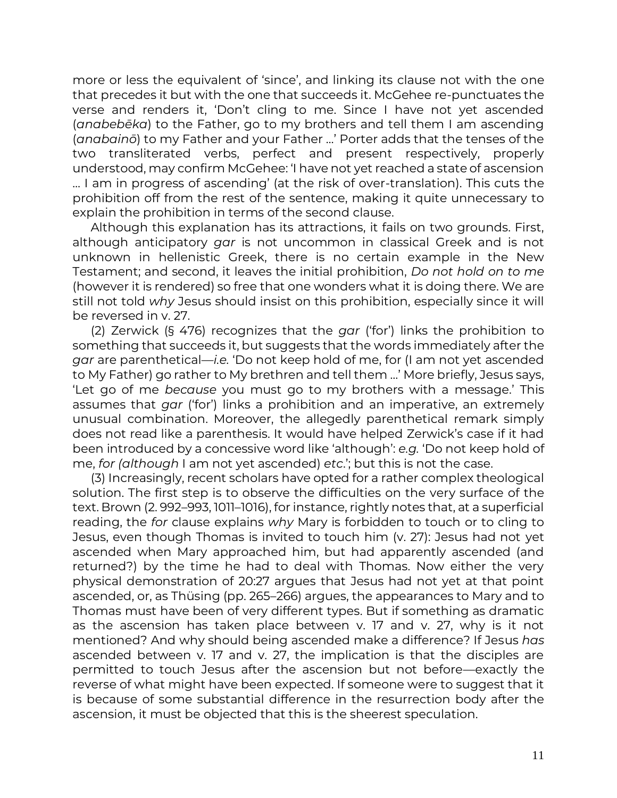more or less the equivalent of 'since', and linking its clause not with the one that precedes it but with the one that succeeds it. McGehee re-punctuates the verse and renders it, 'Don't cling to me. Since I have not yet ascended (*anabebēka*) to the Father, go to my brothers and tell them I am ascending (*anabainō*) to my Father and your Father …' Porter adds that the tenses of the two transliterated verbs, perfect and present respectively, properly understood, may confirm McGehee: 'I have not yet reached a state of ascension … I am in progress of ascending' (at the risk of over-translation). This cuts the prohibition off from the rest of the sentence, making it quite unnecessary to explain the prohibition in terms of the second clause.

Although this explanation has its attractions, it fails on two grounds. First, although anticipatory *gar* is not uncommon in classical Greek and is not unknown in hellenistic Greek, there is no certain example in the New Testament; and second, it leaves the initial prohibition, *Do not hold on to me* (however it is rendered) so free that one wonders what it is doing there. We are still not told *why* Jesus should insist on this prohibition, especially since it will be reversed in v. 27.

(2) Zerwick (§ 476) recognizes that the *gar* ('for') links the prohibition to something that succeeds it, but suggests that the words immediately after the *gar* are parenthetical—*i.e.* 'Do not keep hold of me, for (I am not yet ascended to My Father) go rather to My brethren and tell them …' More briefly, Jesus says, 'Let go of me *because* you must go to my brothers with a message.' This assumes that *gar* ('for') links a prohibition and an imperative, an extremely unusual combination. Moreover, the allegedly parenthetical remark simply does not read like a parenthesis. It would have helped Zerwick's case if it had been introduced by a concessive word like 'although': *e.g.* 'Do not keep hold of me, *for (although* I am not yet ascended) *etc*.'; but this is not the case.

(3) Increasingly, recent scholars have opted for a rather complex theological solution. The first step is to observe the difficulties on the very surface of the text. Brown (2. 992–993, 1011–1016), for instance, rightly notes that, at a superficial reading, the *for* clause explains *why* Mary is forbidden to touch or to cling to Jesus, even though Thomas is invited to touch him (v. 27): Jesus had not yet ascended when Mary approached him, but had apparently ascended (and returned?) by the time he had to deal with Thomas. Now either the very physical demonstration of 20:27 argues that Jesus had not yet at that point ascended, or, as Thüsing (pp. 265–266) argues, the appearances to Mary and to Thomas must have been of very different types. But if something as dramatic as the ascension has taken place between v. 17 and v. 27, why is it not mentioned? And why should being ascended make a difference? If Jesus *has* ascended between v. 17 and v. 27, the implication is that the disciples are permitted to touch Jesus after the ascension but not before—exactly the reverse of what might have been expected. If someone were to suggest that it is because of some substantial difference in the resurrection body after the ascension, it must be objected that this is the sheerest speculation.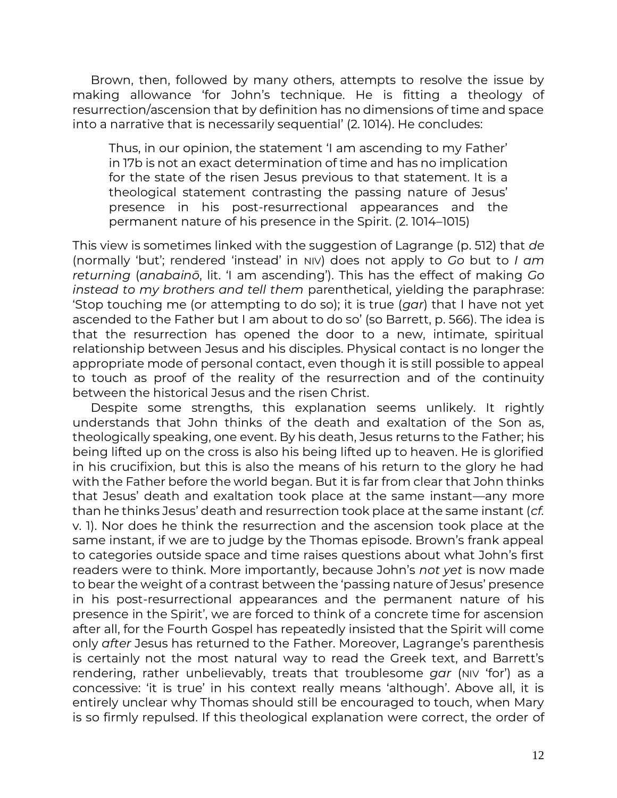Brown, then, followed by many others, attempts to resolve the issue by making allowance 'for John's technique. He is fitting a theology of resurrection/ascension that by definition has no dimensions of time and space into a narrative that is necessarily sequential' (2. 1014). He concludes:

Thus, in our opinion, the statement 'I am ascending to my Father' in 17b is not an exact determination of time and has no implication for the state of the risen Jesus previous to that statement. It is a theological statement contrasting the passing nature of Jesus' presence in his post-resurrectional appearances and the permanent nature of his presence in the Spirit. (2. 1014–1015)

This view is sometimes linked with the suggestion of Lagrange (p. 512) that *de* (normally 'but'; rendered 'instead' in NIV) does not apply to *Go* but to *I am returning* (*anabainō*, lit. 'I am ascending'). This has the effect of making *Go instead to my brothers and tell them* parenthetical, yielding the paraphrase: 'Stop touching me (or attempting to do so); it is true (*gar*) that I have not yet ascended to the Father but I am about to do so' (so Barrett, p. 566). The idea is that the resurrection has opened the door to a new, intimate, spiritual relationship between Jesus and his disciples. Physical contact is no longer the appropriate mode of personal contact, even though it is still possible to appeal to touch as proof of the reality of the resurrection and of the continuity between the historical Jesus and the risen Christ.

Despite some strengths, this explanation seems unlikely. It rightly understands that John thinks of the death and exaltation of the Son as, theologically speaking, one event. By his death, Jesus returns to the Father; his being lifted up on the cross is also his being lifted up to heaven. He is glorified in his crucifixion, but this is also the means of his return to the glory he had with the Father before the world began. But it is far from clear that John thinks that Jesus' death and exaltation took place at the same instant—any more than he thinks Jesus' death and resurrection took place at the same instant (*cf.* v. 1). Nor does he think the resurrection and the ascension took place at the same instant, if we are to judge by the Thomas episode. Brown's frank appeal to categories outside space and time raises questions about what John's first readers were to think. More importantly, because John's *not yet* is now made to bear the weight of a contrast between the 'passing nature of Jesus' presence in his post-resurrectional appearances and the permanent nature of his presence in the Spirit', we are forced to think of a concrete time for ascension after all, for the Fourth Gospel has repeatedly insisted that the Spirit will come only *after* Jesus has returned to the Father. Moreover, Lagrange's parenthesis is certainly not the most natural way to read the Greek text, and Barrett's rendering, rather unbelievably, treats that troublesome *gar* (NIV 'for') as a concessive: 'it is true' in his context really means 'although'. Above all, it is entirely unclear why Thomas should still be encouraged to touch, when Mary is so firmly repulsed. If this theological explanation were correct, the order of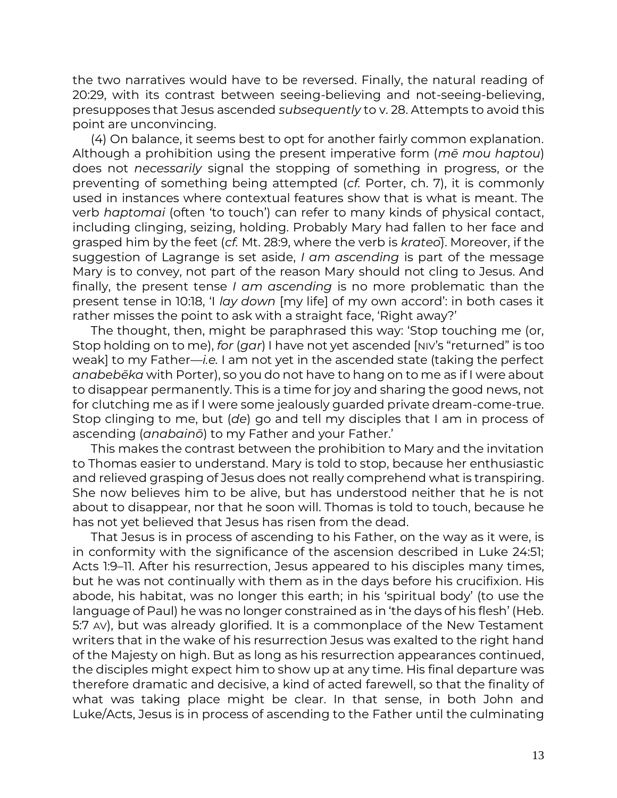the two narratives would have to be reversed. Finally, the natural reading of 20:29, with its contrast between seeing-believing and not-seeing-believing, presupposes that Jesus ascended *subsequently* to v. 28. Attempts to avoid this point are unconvincing.

(4) On balance, it seems best to opt for another fairly common explanation. Although a prohibition using the present imperative form (*mē mou haptou*) does not *necessarily* signal the stopping of something in progress, or the preventing of something being attempted (*cf.* Porter, ch. 7), it is commonly used in instances where contextual features show that is what is meant. The verb *haptomai* (often 'to touch') can refer to many kinds of physical contact, including clinging, seizing, holding. Probably Mary had fallen to her face and grasped him by the feet (*cf.* Mt. 28:9, where the verb is *krateo̅*). Moreover, if the suggestion of Lagrange is set aside, *I am ascending* is part of the message Mary is to convey, not part of the reason Mary should not cling to Jesus. And finally, the present tense *I am ascending* is no more problematic than the present tense in 10:18, 'I *lay down* [my life] of my own accord': in both cases it rather misses the point to ask with a straight face, 'Right away?'

The thought, then, might be paraphrased this way: 'Stop touching me (or, Stop holding on to me), *for* (*gar*) I have not yet ascended [NIV's "returned" is too weak] to my Father—*i.e.* I am not yet in the ascended state (taking the perfect *anabebēka* with Porter), so you do not have to hang on to me as if I were about to disappear permanently. This is a time for joy and sharing the good news, not for clutching me as if I were some jealously guarded private dream-come-true. Stop clinging to me, but (*de*) go and tell my disciples that I am in process of ascending (*anabainō*) to my Father and your Father.'

This makes the contrast between the prohibition to Mary and the invitation to Thomas easier to understand. Mary is told to stop, because her enthusiastic and relieved grasping of Jesus does not really comprehend what is transpiring. She now believes him to be alive, but has understood neither that he is not about to disappear, nor that he soon will. Thomas is told to touch, because he has not yet believed that Jesus has risen from the dead.

That Jesus is in process of ascending to his Father, on the way as it were, is in conformity with the significance of the ascension described in Luke 24:51; Acts 1:9–11. After his resurrection, Jesus appeared to his disciples many times, but he was not continually with them as in the days before his crucifixion. His abode, his habitat, was no longer this earth; in his 'spiritual body' (to use the language of Paul) he was no longer constrained as in 'the days of his flesh' (Heb. 5:7 AV), but was already glorified. It is a commonplace of the New Testament writers that in the wake of his resurrection Jesus was exalted to the right hand of the Majesty on high. But as long as his resurrection appearances continued, the disciples might expect him to show up at any time. His final departure was therefore dramatic and decisive, a kind of acted farewell, so that the finality of what was taking place might be clear. In that sense, in both John and Luke/Acts, Jesus is in process of ascending to the Father until the culminating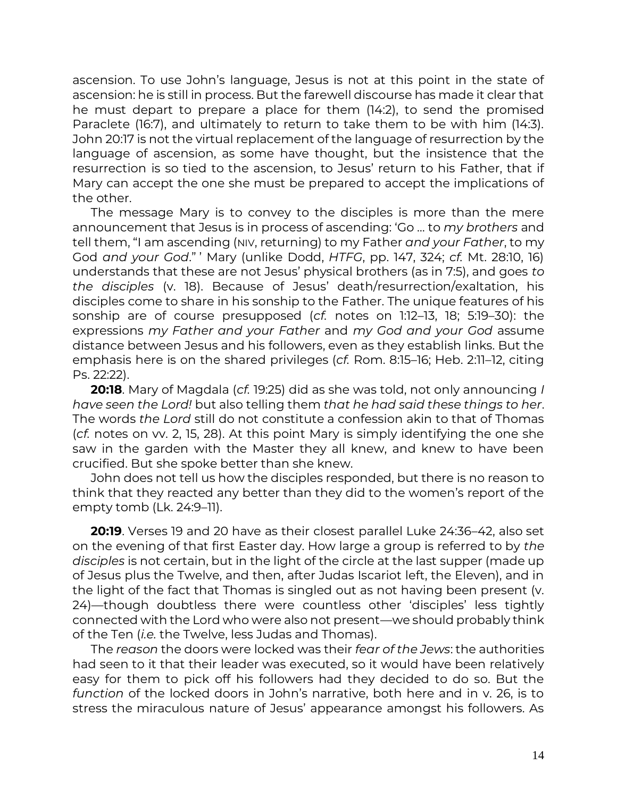ascension. To use John's language, Jesus is not at this point in the state of ascension: he is still in process. But the farewell discourse has made it clear that he must depart to prepare a place for them (14:2), to send the promised Paraclete (16:7), and ultimately to return to take them to be with him (14:3). John 20:17 is not the virtual replacement of the language of resurrection by the language of ascension, as some have thought, but the insistence that the resurrection is so tied to the ascension, to Jesus' return to his Father, that if Mary can accept the one she must be prepared to accept the implications of the other.

The message Mary is to convey to the disciples is more than the mere announcement that Jesus is in process of ascending: 'Go … to *my brothers* and tell them, "I am ascending (NIV, returning) to my Father *and your Father*, to my God *and your God*." ' Mary (unlike Dodd, *HTFG*, pp. 147, 324; *cf.* Mt. 28:10, 16) understands that these are not Jesus' physical brothers (as in 7:5), and goes *to the disciples* (v. 18). Because of Jesus' death/resurrection/exaltation, his disciples come to share in his sonship to the Father. The unique features of his sonship are of course presupposed (*cf.* notes on 1:12–13, 18; 5:19–30): the expressions *my Father and your Father* and *my God and your God* assume distance between Jesus and his followers, even as they establish links. But the emphasis here is on the shared privileges (*cf.* Rom. 8:15–16; Heb. 2:11–12, citing Ps. 22:22).

**20:18**. Mary of Magdala (*cf.* 19:25) did as she was told, not only announcing *I have seen the Lord!* but also telling them *that he had said these things to her*. The words *the Lord* still do not constitute a confession akin to that of Thomas (*cf.* notes on vv. 2, 15, 28). At this point Mary is simply identifying the one she saw in the garden with the Master they all knew, and knew to have been crucified. But she spoke better than she knew.

John does not tell us how the disciples responded, but there is no reason to think that they reacted any better than they did to the women's report of the empty tomb (Lk. 24:9–11).

**20:19**. Verses 19 and 20 have as their closest parallel Luke 24:36–42, also set on the evening of that first Easter day. How large a group is referred to by *the disciples* is not certain, but in the light of the circle at the last supper (made up of Jesus plus the Twelve, and then, after Judas Iscariot left, the Eleven), and in the light of the fact that Thomas is singled out as not having been present (v. 24)—though doubtless there were countless other 'disciples' less tightly connected with the Lord who were also not present—we should probably think of the Ten (*i.e.* the Twelve, less Judas and Thomas).

The *reason* the doors were locked was their *fear of the Jews*: the authorities had seen to it that their leader was executed, so it would have been relatively easy for them to pick off his followers had they decided to do so. But the *function* of the locked doors in John's narrative, both here and in v. 26, is to stress the miraculous nature of Jesus' appearance amongst his followers. As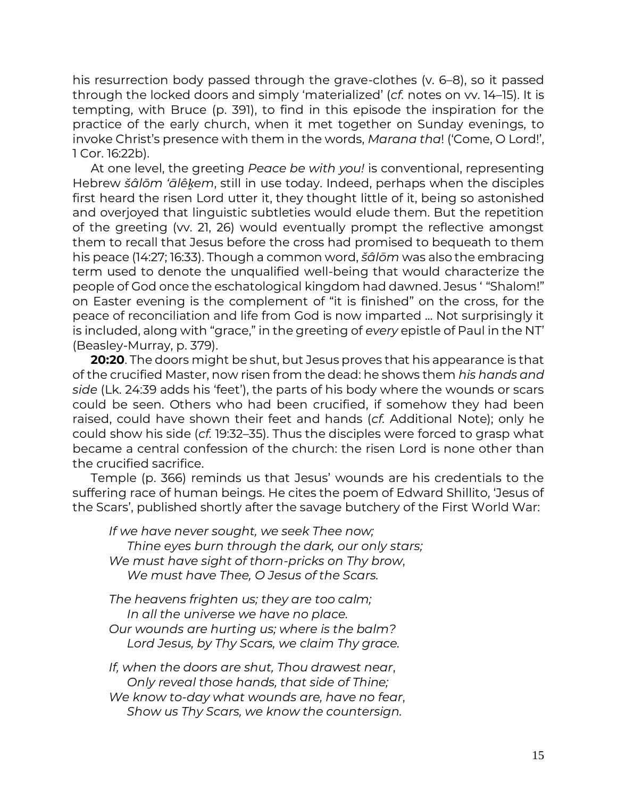his resurrection body passed through the grave-clothes (v. 6–8), so it passed through the locked doors and simply 'materialized' (*cf.* notes on vv. 14–15). It is tempting, with Bruce (p. 391), to find in this episode the inspiration for the practice of the early church, when it met together on Sunday evenings, to invoke Christ's presence with them in the words, *Marana tha*! ('Come, O Lord!', 1 Cor. 16:22b).

At one level, the greeting *Peace be with you!* is conventional, representing Hebrew *šâlōm 'ālêḵem*, still in use today. Indeed, perhaps when the disciples first heard the risen Lord utter it, they thought little of it, being so astonished and overjoyed that linguistic subtleties would elude them. But the repetition of the greeting (vv. 21, 26) would eventually prompt the reflective amongst them to recall that Jesus before the cross had promised to bequeath to them his peace (14:27; 16:33). Though a common word, *šâlōm* was also the embracing term used to denote the unqualified well-being that would characterize the people of God once the eschatological kingdom had dawned. Jesus ' "Shalom!" on Easter evening is the complement of "it is finished" on the cross, for the peace of reconciliation and life from God is now imparted … Not surprisingly it is included, along with "grace," in the greeting of *every* epistle of Paul in the NT' (Beasley-Murray, p. 379).

**20:20**. The doors might be shut, but Jesus proves that his appearance is that of the crucified Master, now risen from the dead: he shows them *his hands and side* (Lk. 24:39 adds his 'feet'), the parts of his body where the wounds or scars could be seen. Others who had been crucified, if somehow they had been raised, could have shown their feet and hands (*cf.* Additional Note); only he could show his side (*cf.* 19:32–35). Thus the disciples were forced to grasp what became a central confession of the church: the risen Lord is none other than the crucified sacrifice.

Temple (p. 366) reminds us that Jesus' wounds are his credentials to the suffering race of human beings. He cites the poem of Edward Shillito, 'Jesus of the Scars', published shortly after the savage butchery of the First World War:

*If we have never sought, we seek Thee now; Thine eyes burn through the dark, our only stars; We must have sight of thorn-pricks on Thy brow*, *We must have Thee, O Jesus of the Scars.*

*The heavens frighten us; they are too calm; In all the universe we have no place. Our wounds are hurting us; where is the balm? Lord Jesus, by Thy Scars, we claim Thy grace.*

*If, when the doors are shut, Thou drawest near*, *Only reveal those hands, that side of Thine; We know to-day what wounds are, have no fear*, *Show us Thy Scars, we know the countersign.*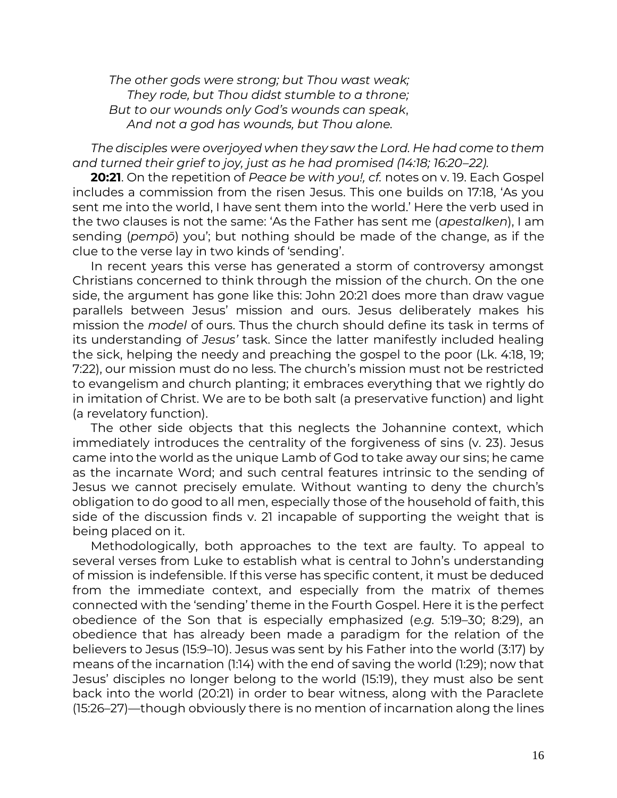*The other gods were strong; but Thou wast weak; They rode, but Thou didst stumble to a throne; But to our wounds only God's wounds can speak*, *And not a god has wounds, but Thou alone.*

*The disciples were overjoyed when they saw the Lord. He had come to them and turned their grief to joy, just as he had promised (14:18; 16:20–22).*

**20:21**. On the repetition of *Peace be with you!, cf.* notes on v. 19. Each Gospel includes a commission from the risen Jesus. This one builds on 17:18, 'As you sent me into the world, I have sent them into the world.' Here the verb used in the two clauses is not the same: 'As the Father has sent me (*apestalken*), I am sending (*pempō*) you'; but nothing should be made of the change, as if the clue to the verse lay in two kinds of 'sending'.

In recent years this verse has generated a storm of controversy amongst Christians concerned to think through the mission of the church. On the one side, the argument has gone like this: John 20:21 does more than draw vague parallels between Jesus' mission and ours. Jesus deliberately makes his mission the *model* of ours. Thus the church should define its task in terms of its understanding of *Jesus'* task. Since the latter manifestly included healing the sick, helping the needy and preaching the gospel to the poor (Lk. 4:18, 19; 7:22), our mission must do no less. The church's mission must not be restricted to evangelism and church planting; it embraces everything that we rightly do in imitation of Christ. We are to be both salt (a preservative function) and light (a revelatory function).

The other side objects that this neglects the Johannine context, which immediately introduces the centrality of the forgiveness of sins (v. 23). Jesus came into the world as the unique Lamb of God to take away our sins; he came as the incarnate Word; and such central features intrinsic to the sending of Jesus we cannot precisely emulate. Without wanting to deny the church's obligation to do good to all men, especially those of the household of faith, this side of the discussion finds v. 21 incapable of supporting the weight that is being placed on it.

Methodologically, both approaches to the text are faulty. To appeal to several verses from Luke to establish what is central to John's understanding of mission is indefensible. If this verse has specific content, it must be deduced from the immediate context, and especially from the matrix of themes connected with the 'sending' theme in the Fourth Gospel. Here it is the perfect obedience of the Son that is especially emphasized (*e.g.* 5:19–30; 8:29), an obedience that has already been made a paradigm for the relation of the believers to Jesus (15:9–10). Jesus was sent by his Father into the world (3:17) by means of the incarnation (1:14) with the end of saving the world (1:29); now that Jesus' disciples no longer belong to the world (15:19), they must also be sent back into the world (20:21) in order to bear witness, along with the Paraclete (15:26–27)—though obviously there is no mention of incarnation along the lines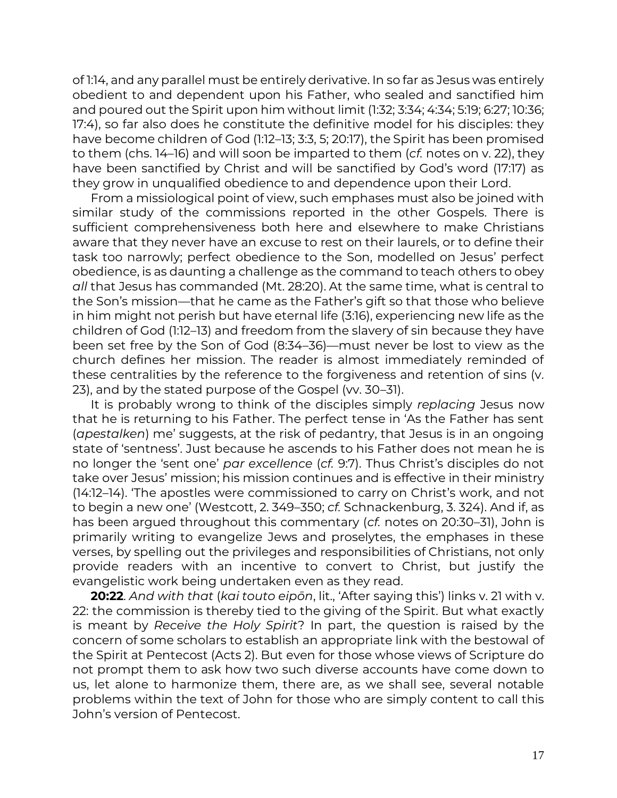of 1:14, and any parallel must be entirely derivative. In so far as Jesus was entirely obedient to and dependent upon his Father, who sealed and sanctified him and poured out the Spirit upon him without limit (1:32; 3:34; 4:34; 5:19; 6:27; 10:36; 17:4), so far also does he constitute the definitive model for his disciples: they have become children of God (1:12–13; 3:3, 5; 20:17), the Spirit has been promised to them (chs. 14–16) and will soon be imparted to them (*cf.* notes on v. 22), they have been sanctified by Christ and will be sanctified by God's word (17:17) as they grow in unqualified obedience to and dependence upon their Lord.

From a missiological point of view, such emphases must also be joined with similar study of the commissions reported in the other Gospels. There is sufficient comprehensiveness both here and elsewhere to make Christians aware that they never have an excuse to rest on their laurels, or to define their task too narrowly; perfect obedience to the Son, modelled on Jesus' perfect obedience, is as daunting a challenge as the command to teach others to obey *all* that Jesus has commanded (Mt. 28:20). At the same time, what is central to the Son's mission—that he came as the Father's gift so that those who believe in him might not perish but have eternal life (3:16), experiencing new life as the children of God (1:12–13) and freedom from the slavery of sin because they have been set free by the Son of God (8:34–36)—must never be lost to view as the church defines her mission. The reader is almost immediately reminded of these centralities by the reference to the forgiveness and retention of sins (v. 23), and by the stated purpose of the Gospel (vv. 30–31).

It is probably wrong to think of the disciples simply *replacing* Jesus now that he is returning to his Father. The perfect tense in 'As the Father has sent (*apestalken*) me' suggests, at the risk of pedantry, that Jesus is in an ongoing state of 'sentness'. Just because he ascends to his Father does not mean he is no longer the 'sent one' *par excellence* (*cf.* 9:7). Thus Christ's disciples do not take over Jesus' mission; his mission continues and is effective in their ministry (14:12–14). 'The apostles were commissioned to carry on Christ's work, and not to begin a new one' (Westcott, 2. 349–350; *cf.* Schnackenburg, 3. 324). And if, as has been argued throughout this commentary (*cf.* notes on 20:30–31), John is primarily writing to evangelize Jews and proselytes, the emphases in these verses, by spelling out the privileges and responsibilities of Christians, not only provide readers with an incentive to convert to Christ, but justify the evangelistic work being undertaken even as they read.

**20:22**. *And with that* (*kai touto eipōn*, lit., 'After saying this') links v. 21 with v. 22: the commission is thereby tied to the giving of the Spirit. But what exactly is meant by *Receive the Holy Spirit*? In part, the question is raised by the concern of some scholars to establish an appropriate link with the bestowal of the Spirit at Pentecost (Acts 2). But even for those whose views of Scripture do not prompt them to ask how two such diverse accounts have come down to us, let alone to harmonize them, there are, as we shall see, several notable problems within the text of John for those who are simply content to call this John's version of Pentecost.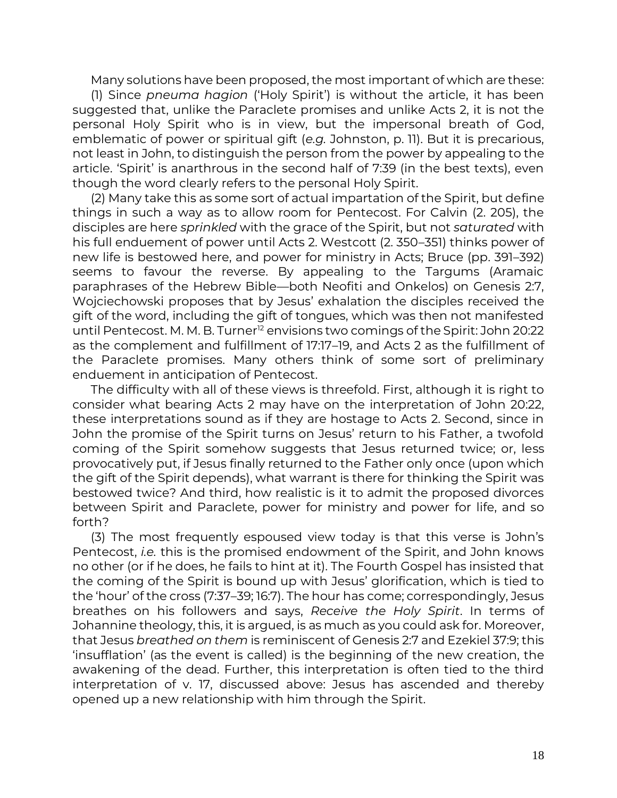Many solutions have been proposed, the most important of which are these:

(1) Since *pneuma hagion* ('Holy Spirit') is without the article, it has been suggested that, unlike the Paraclete promises and unlike Acts 2, it is not the personal Holy Spirit who is in view, but the impersonal breath of God, emblematic of power or spiritual gift (*e.g.* Johnston, p. 11). But it is precarious, not least in John, to distinguish the person from the power by appealing to the article. 'Spirit' is anarthrous in the second half of 7:39 (in the best texts), even though the word clearly refers to the personal Holy Spirit.

(2) Many take this as some sort of actual impartation of the Spirit, but define things in such a way as to allow room for Pentecost. For Calvin (2. 205), the disciples are here *sprinkled* with the grace of the Spirit, but not *saturated* with his full enduement of power until Acts 2. Westcott (2. 350–351) thinks power of new life is bestowed here, and power for ministry in Acts; Bruce (pp. 391–392) seems to favour the reverse. By appealing to the Targums (Aramaic paraphrases of the Hebrew Bible—both Neofiti and Onkelos) on Genesis 2:7, Wojciechowski proposes that by Jesus' exhalation the disciples received the gift of the word, including the gift of tongues, which was then not manifested until Pentecost. M. M. B. Turner<sup>12</sup> envisions two comings of the Spirit: John 20:22 as the complement and fulfillment of 17:17–19, and Acts 2 as the fulfillment of the Paraclete promises. Many others think of some sort of preliminary enduement in anticipation of Pentecost.

The difficulty with all of these views is threefold. First, although it is right to consider what bearing Acts 2 may have on the interpretation of John 20:22, these interpretations sound as if they are hostage to Acts 2. Second, since in John the promise of the Spirit turns on Jesus' return to his Father, a twofold coming of the Spirit somehow suggests that Jesus returned twice; or, less provocatively put, if Jesus finally returned to the Father only once (upon which the gift of the Spirit depends), what warrant is there for thinking the Spirit was bestowed twice? And third, how realistic is it to admit the proposed divorces between Spirit and Paraclete, power for ministry and power for life, and so forth?

(3) The most frequently espoused view today is that this verse is John's Pentecost, *i.e.* this is the promised endowment of the Spirit, and John knows no other (or if he does, he fails to hint at it). The Fourth Gospel has insisted that the coming of the Spirit is bound up with Jesus' glorification, which is tied to the 'hour' of the cross (7:37–39; 16:7). The hour has come; correspondingly, Jesus breathes on his followers and says, *Receive the Holy Spirit*. In terms of Johannine theology, this, it is argued, is as much as you could ask for. Moreover, that Jesus *breathed on them* is reminiscent of Genesis 2:7 and Ezekiel 37:9; this 'insufflation' (as the event is called) is the beginning of the new creation, the awakening of the dead. Further, this interpretation is often tied to the third interpretation of v. 17, discussed above: Jesus has ascended and thereby opened up a new relationship with him through the Spirit.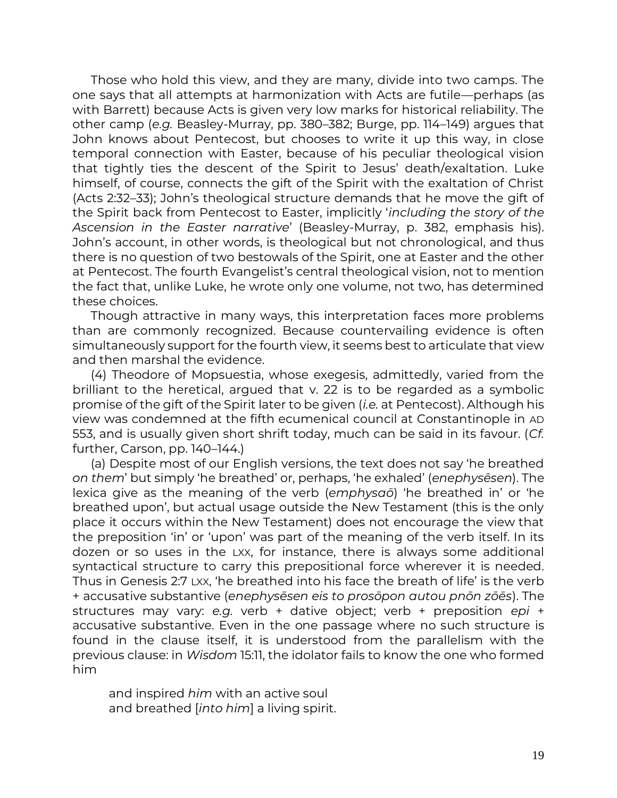Those who hold this view, and they are many, divide into two camps. The one says that all attempts at harmonization with Acts are futile—perhaps (as with Barrett) because Acts is given very low marks for historical reliability. The other camp (*e.g.* Beasley-Murray, pp. 380–382; Burge, pp. 114–149) argues that John knows about Pentecost, but chooses to write it up this way, in close temporal connection with Easter, because of his peculiar theological vision that tightly ties the descent of the Spirit to Jesus' death/exaltation. Luke himself, of course, connects the gift of the Spirit with the exaltation of Christ (Acts 2:32–33); John's theological structure demands that he move the gift of the Spirit back from Pentecost to Easter, implicitly '*including the story of the Ascension in the Easter narrative*' (Beasley-Murray, p. 382, emphasis his). John's account, in other words, is theological but not chronological, and thus there is no question of two bestowals of the Spirit, one at Easter and the other at Pentecost. The fourth Evangelist's central theological vision, not to mention the fact that, unlike Luke, he wrote only one volume, not two, has determined these choices.

Though attractive in many ways, this interpretation faces more problems than are commonly recognized. Because countervailing evidence is often simultaneously support for the fourth view, it seems best to articulate that view and then marshal the evidence.

(4) Theodore of Mopsuestia, whose exegesis, admittedly, varied from the brilliant to the heretical, argued that v. 22 is to be regarded as a symbolic promise of the gift of the Spirit later to be given (*i.e.* at Pentecost). Although his view was condemned at the fifth ecumenical council at Constantinople in AD 553, and is usually given short shrift today, much can be said in its favour. (*Cf.* further, Carson, pp. 140-144.)

(a) Despite most of our English versions, the text does not say 'he breathed *on them*' but simply 'he breathed' or, perhaps, 'he exhaled' (*enephysēsen*). The lexica give as the meaning of the verb (*emphysaō*) 'he breathed in' or 'he breathed upon', but actual usage outside the New Testament (this is the only place it occurs within the New Testament) does not encourage the view that the preposition 'in' or 'upon' was part of the meaning of the verb itself. In its dozen or so uses in the LXX, for instance, there is always some additional syntactical structure to carry this prepositional force wherever it is needed. Thus in Genesis 2:7 LXX, 'he breathed into his face the breath of life' is the verb + accusative substantive (*enephysēsen eis to prosōpon autou pnōn zōēs*). The structures may vary: *e.g.* verb + dative object; verb + preposition *epi* + accusative substantive. Even in the one passage where no such structure is found in the clause itself, it is understood from the parallelism with the previous clause: in *Wisdom* 15:11, the idolator fails to know the one who formed him

and inspired *him* with an active soul and breathed [*into him*] a living spirit.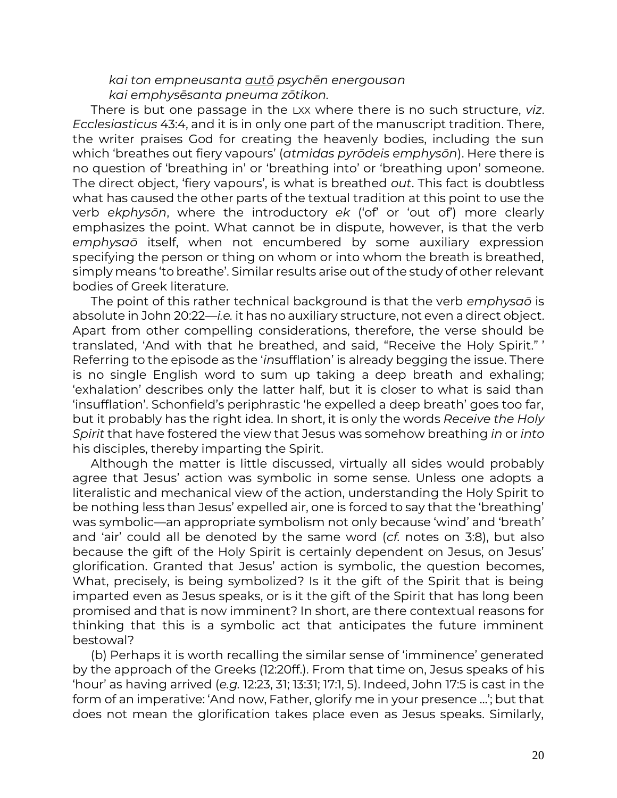*kai ton empneusanta autō psychēn energousan kai emphysēsanta pneuma zōtikon.*

There is but one passage in the LXX where there is no such structure, *viz*. *Ecclesiasticus* 43:4, and it is in only one part of the manuscript tradition. There, the writer praises God for creating the heavenly bodies, including the sun which 'breathes out fiery vapours' (*atmidas pyrōdeis emphysōn*). Here there is no question of 'breathing in' or 'breathing into' or 'breathing upon' someone. The direct object, 'fiery vapours', is what is breathed *out*. This fact is doubtless what has caused the other parts of the textual tradition at this point to use the verb *ekphysōn*, where the introductory *ek* ('of' or 'out of') more clearly emphasizes the point. What cannot be in dispute, however, is that the verb *emphysaō* itself, when not encumbered by some auxiliary expression specifying the person or thing on whom or into whom the breath is breathed, simply means 'to breathe'. Similar results arise out of the study of other relevant bodies of Greek literature.

The point of this rather technical background is that the verb *emphysaō* is absolute in John 20:22—*i.e.* it has no auxiliary structure, not even a direct object. Apart from other compelling considerations, therefore, the verse should be translated, 'And with that he breathed, and said, "Receive the Holy Spirit." ' Referring to the episode as the '*in*sufflation' is already begging the issue. There is no single English word to sum up taking a deep breath and exhaling; 'exhalation' describes only the latter half, but it is closer to what is said than 'insufflation'. Schonfield's periphrastic 'he expelled a deep breath' goes too far, but it probably has the right idea. In short, it is only the words *Receive the Holy Spirit* that have fostered the view that Jesus was somehow breathing *in* or *into* his disciples, thereby imparting the Spirit.

Although the matter is little discussed, virtually all sides would probably agree that Jesus' action was symbolic in some sense. Unless one adopts a literalistic and mechanical view of the action, understanding the Holy Spirit to be nothing less than Jesus' expelled air, one is forced to say that the 'breathing' was symbolic—an appropriate symbolism not only because 'wind' and 'breath' and 'air' could all be denoted by the same word (*cf.* notes on 3:8), but also because the gift of the Holy Spirit is certainly dependent on Jesus, on Jesus' glorification. Granted that Jesus' action is symbolic, the question becomes, What, precisely, is being symbolized? Is it the gift of the Spirit that is being imparted even as Jesus speaks, or is it the gift of the Spirit that has long been promised and that is now imminent? In short, are there contextual reasons for thinking that this is a symbolic act that anticipates the future imminent bestowal?

(b) Perhaps it is worth recalling the similar sense of 'imminence' generated by the approach of the Greeks (12:20ff.). From that time on, Jesus speaks of his 'hour' as having arrived (*e.g.* 12:23, 31; 13:31; 17:1, 5). Indeed, John 17:5 is cast in the form of an imperative: 'And now, Father, glorify me in your presence …'; but that does not mean the glorification takes place even as Jesus speaks. Similarly,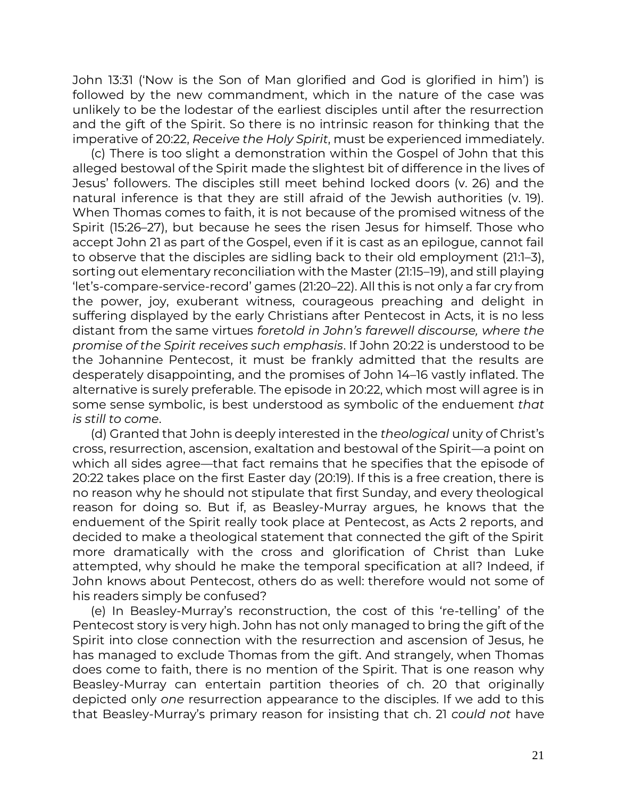John 13:31 ('Now is the Son of Man glorified and God is glorified in him') is followed by the new commandment, which in the nature of the case was unlikely to be the lodestar of the earliest disciples until after the resurrection and the gift of the Spirit. So there is no intrinsic reason for thinking that the imperative of 20:22, *Receive the Holy Spirit*, must be experienced immediately.

(c) There is too slight a demonstration within the Gospel of John that this alleged bestowal of the Spirit made the slightest bit of difference in the lives of Jesus' followers. The disciples still meet behind locked doors (v. 26) and the natural inference is that they are still afraid of the Jewish authorities (v. 19). When Thomas comes to faith, it is not because of the promised witness of the Spirit (15:26–27), but because he sees the risen Jesus for himself. Those who accept John 21 as part of the Gospel, even if it is cast as an epilogue, cannot fail to observe that the disciples are sidling back to their old employment (21:1–3), sorting out elementary reconciliation with the Master (21:15–19), and still playing 'let's-compare-service-record' games (21:20–22). All this is not only a far cry from the power, joy, exuberant witness, courageous preaching and delight in suffering displayed by the early Christians after Pentecost in Acts, it is no less distant from the same virtues *foretold in John's farewell discourse, where the promise of the Spirit receives such emphasis*. If John 20:22 is understood to be the Johannine Pentecost, it must be frankly admitted that the results are desperately disappointing, and the promises of John 14–16 vastly inflated. The alternative is surely preferable. The episode in 20:22, which most will agree is in some sense symbolic, is best understood as symbolic of the enduement *that is still to come*.

(d) Granted that John is deeply interested in the *theological* unity of Christ's cross, resurrection, ascension, exaltation and bestowal of the Spirit—a point on which all sides agree—that fact remains that he specifies that the episode of 20:22 takes place on the first Easter day (20:19). If this is a free creation, there is no reason why he should not stipulate that first Sunday, and every theological reason for doing so. But if, as Beasley-Murray argues, he knows that the enduement of the Spirit really took place at Pentecost, as Acts 2 reports, and decided to make a theological statement that connected the gift of the Spirit more dramatically with the cross and glorification of Christ than Luke attempted, why should he make the temporal specification at all? Indeed, if John knows about Pentecost, others do as well: therefore would not some of his readers simply be confused?

(e) In Beasley-Murray's reconstruction, the cost of this 're-telling' of the Pentecost story is very high. John has not only managed to bring the gift of the Spirit into close connection with the resurrection and ascension of Jesus, he has managed to exclude Thomas from the gift. And strangely, when Thomas does come to faith, there is no mention of the Spirit. That is one reason why Beasley-Murray can entertain partition theories of ch. 20 that originally depicted only *one* resurrection appearance to the disciples. If we add to this that Beasley-Murray's primary reason for insisting that ch. 21 *could not* have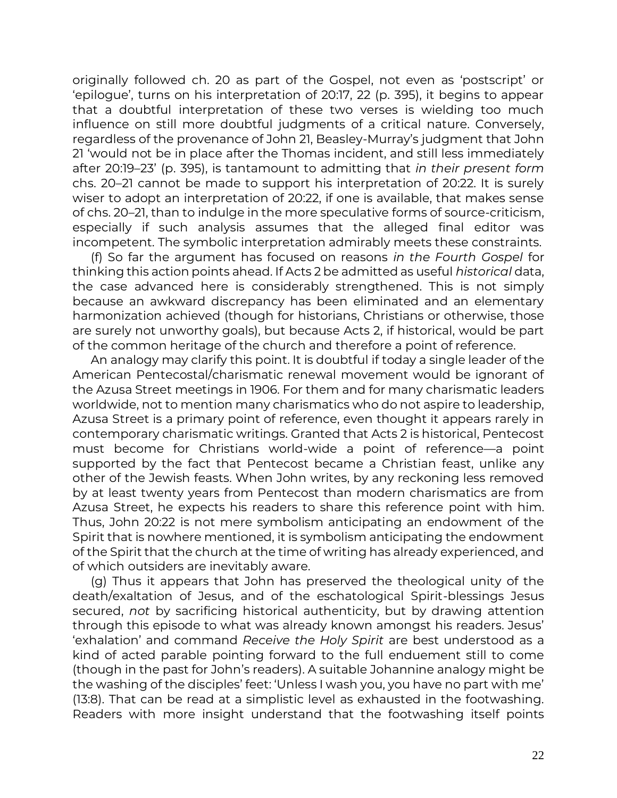originally followed ch. 20 as part of the Gospel, not even as 'postscript' or 'epilogue', turns on his interpretation of 20:17, 22 (p. 395), it begins to appear that a doubtful interpretation of these two verses is wielding too much influence on still more doubtful judgments of a critical nature. Conversely, regardless of the provenance of John 21, Beasley-Murray's judgment that John 21 'would not be in place after the Thomas incident, and still less immediately after 20:19–23' (p. 395), is tantamount to admitting that *in their present form* chs. 20–21 cannot be made to support his interpretation of 20:22. It is surely wiser to adopt an interpretation of 20:22, if one is available, that makes sense of chs. 20–21, than to indulge in the more speculative forms of source-criticism, especially if such analysis assumes that the alleged final editor was incompetent. The symbolic interpretation admirably meets these constraints.

(f) So far the argument has focused on reasons *in the Fourth Gospel* for thinking this action points ahead. If Acts 2 be admitted as useful *historical* data, the case advanced here is considerably strengthened. This is not simply because an awkward discrepancy has been eliminated and an elementary harmonization achieved (though for historians, Christians or otherwise, those are surely not unworthy goals), but because Acts 2, if historical, would be part of the common heritage of the church and therefore a point of reference.

An analogy may clarify this point. It is doubtful if today a single leader of the American Pentecostal/charismatic renewal movement would be ignorant of the Azusa Street meetings in 1906. For them and for many charismatic leaders worldwide, not to mention many charismatics who do not aspire to leadership, Azusa Street is a primary point of reference, even thought it appears rarely in contemporary charismatic writings. Granted that Acts 2 is historical, Pentecost must become for Christians world-wide a point of reference—a point supported by the fact that Pentecost became a Christian feast, unlike any other of the Jewish feasts. When John writes, by any reckoning less removed by at least twenty years from Pentecost than modern charismatics are from Azusa Street, he expects his readers to share this reference point with him. Thus, John 20:22 is not mere symbolism anticipating an endowment of the Spirit that is nowhere mentioned, it is symbolism anticipating the endowment of the Spirit that the church at the time of writing has already experienced, and of which outsiders are inevitably aware.

(g) Thus it appears that John has preserved the theological unity of the death/exaltation of Jesus, and of the eschatological Spirit-blessings Jesus secured, *not* by sacrificing historical authenticity, but by drawing attention through this episode to what was already known amongst his readers. Jesus' 'exhalation' and command *Receive the Holy Spirit* are best understood as a kind of acted parable pointing forward to the full enduement still to come (though in the past for John's readers). A suitable Johannine analogy might be the washing of the disciples' feet: 'Unless I wash you, you have no part with me' (13:8). That can be read at a simplistic level as exhausted in the footwashing. Readers with more insight understand that the footwashing itself points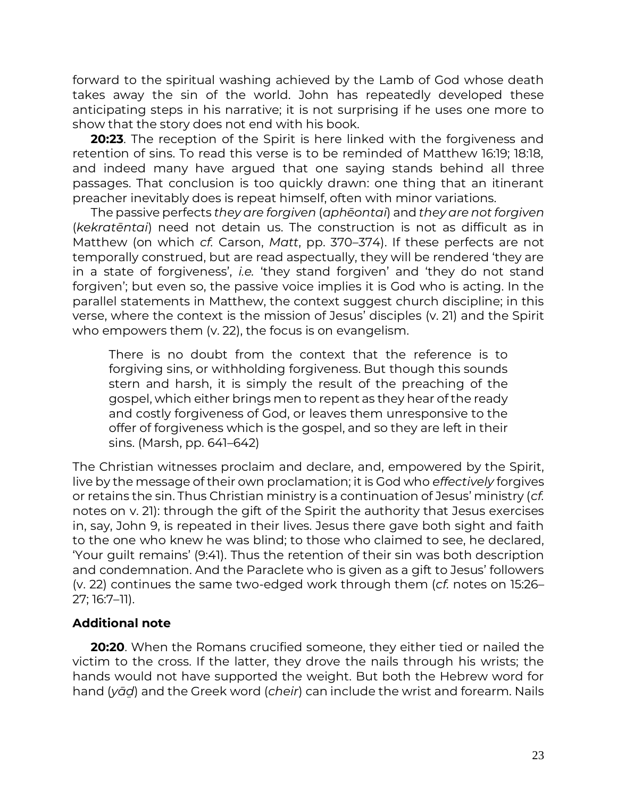forward to the spiritual washing achieved by the Lamb of God whose death takes away the sin of the world. John has repeatedly developed these anticipating steps in his narrative; it is not surprising if he uses one more to show that the story does not end with his book.

**20:23**. The reception of the Spirit is here linked with the forgiveness and retention of sins. To read this verse is to be reminded of Matthew 16:19; 18:18, and indeed many have argued that one saying stands behind all three passages. That conclusion is too quickly drawn: one thing that an itinerant preacher inevitably does is repeat himself, often with minor variations.

The passive perfects *they are forgiven* (*aphēontai*) and *they are not forgiven* (*kekratēntai*) need not detain us. The construction is not as difficult as in Matthew (on which *cf.* Carson, *Matt*, pp. 370–374). If these perfects are not temporally construed, but are read aspectually, they will be rendered 'they are in a state of forgiveness', *i.e.* 'they stand forgiven' and 'they do not stand forgiven'; but even so, the passive voice implies it is God who is acting. In the parallel statements in Matthew, the context suggest church discipline; in this verse, where the context is the mission of Jesus' disciples (v. 21) and the Spirit who empowers them (v. 22), the focus is on evangelism.

There is no doubt from the context that the reference is to forgiving sins, or withholding forgiveness. But though this sounds stern and harsh, it is simply the result of the preaching of the gospel, which either brings men to repent as they hear of the ready and costly forgiveness of God, or leaves them unresponsive to the offer of forgiveness which is the gospel, and so they are left in their sins. (Marsh, pp. 641–642)

The Christian witnesses proclaim and declare, and, empowered by the Spirit, live by the message of their own proclamation; it is God who *effectively* forgives or retains the sin. Thus Christian ministry is a continuation of Jesus' ministry (*cf.* notes on v. 21): through the gift of the Spirit the authority that Jesus exercises in, say, John 9, is repeated in their lives. Jesus there gave both sight and faith to the one who knew he was blind; to those who claimed to see, he declared, 'Your guilt remains' (9:41). Thus the retention of their sin was both description and condemnation. And the Paraclete who is given as a gift to Jesus' followers (v. 22) continues the same two-edged work through them (*cf.* notes on 15:26– 27; 16:7–11).

## **Additional note**

**20:20**. When the Romans crucified someone, they either tied or nailed the victim to the cross. If the latter, they drove the nails through his wrists; the hands would not have supported the weight. But both the Hebrew word for hand (*yāḏ*) and the Greek word (*cheir*) can include the wrist and forearm. Nails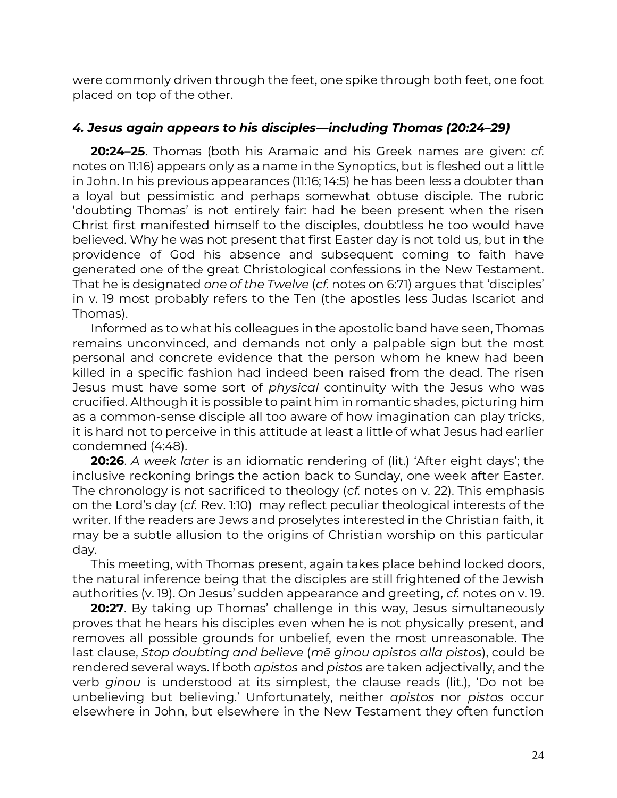were commonly driven through the feet, one spike through both feet, one foot placed on top of the other.

### *4. Jesus again appears to his disciples—including Thomas (20:24–29)*

**20:24–25**. Thomas (both his Aramaic and his Greek names are given: *cf.* notes on 11:16) appears only as a name in the Synoptics, but is fleshed out a little in John. In his previous appearances (11:16; 14:5) he has been less a doubter than a loyal but pessimistic and perhaps somewhat obtuse disciple. The rubric 'doubting Thomas' is not entirely fair: had he been present when the risen Christ first manifested himself to the disciples, doubtless he too would have believed. Why he was not present that first Easter day is not told us, but in the providence of God his absence and subsequent coming to faith have generated one of the great Christological confessions in the New Testament. That he is designated *one of the Twelve* (*cf.* notes on 6:71) argues that 'disciples' in v. 19 most probably refers to the Ten (the apostles less Judas Iscariot and Thomas).

Informed as to what his colleagues in the apostolic band have seen, Thomas remains unconvinced, and demands not only a palpable sign but the most personal and concrete evidence that the person whom he knew had been killed in a specific fashion had indeed been raised from the dead. The risen Jesus must have some sort of *physical* continuity with the Jesus who was crucified. Although it is possible to paint him in romantic shades, picturing him as a common-sense disciple all too aware of how imagination can play tricks, it is hard not to perceive in this attitude at least a little of what Jesus had earlier condemned (4:48).

**20:26**. *A week later* is an idiomatic rendering of (lit.) 'After eight days'; the inclusive reckoning brings the action back to Sunday, one week after Easter. The chronology is not sacrificed to theology (*cf.* notes on v. 22). This emphasis on the Lord's day (*cf.* Rev. 1:10) may reflect peculiar theological interests of the writer. If the readers are Jews and proselytes interested in the Christian faith, it may be a subtle allusion to the origins of Christian worship on this particular day.

This meeting, with Thomas present, again takes place behind locked doors, the natural inference being that the disciples are still frightened of the Jewish authorities (v. 19). On Jesus' sudden appearance and greeting, *cf.* notes on v. 19.

**20:27**. By taking up Thomas' challenge in this way, Jesus simultaneously proves that he hears his disciples even when he is not physically present, and removes all possible grounds for unbelief, even the most unreasonable. The last clause, *Stop doubting and believe* (*mē ginou apistos alla pistos*), could be rendered several ways. If both *apistos* and *pistos* are taken adjectivally, and the verb *ginou* is understood at its simplest, the clause reads (lit.), 'Do not be unbelieving but believing.' Unfortunately, neither *apistos* nor *pistos* occur elsewhere in John, but elsewhere in the New Testament they often function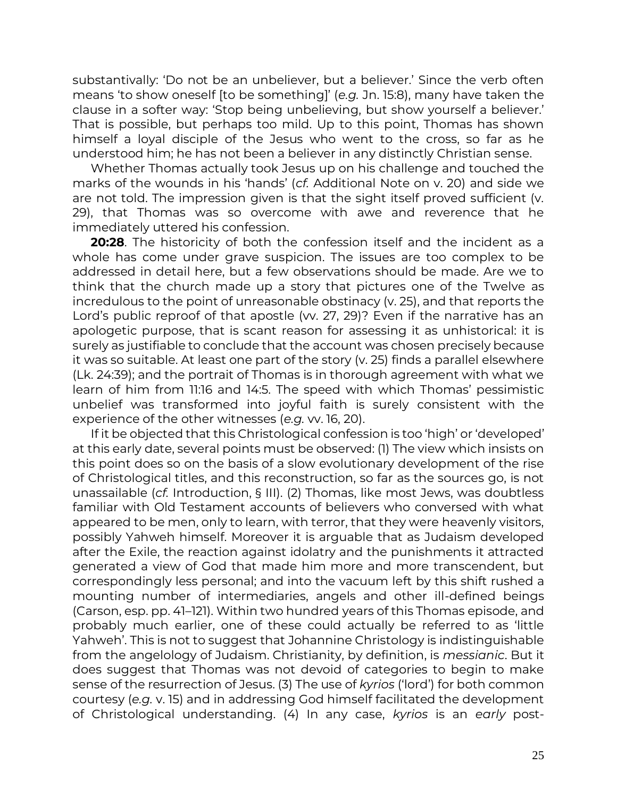substantivally: 'Do not be an unbeliever, but a believer.' Since the verb often means 'to show oneself [to be something]' (*e.g.* Jn. 15:8), many have taken the clause in a softer way: 'Stop being unbelieving, but show yourself a believer.' That is possible, but perhaps too mild. Up to this point, Thomas has shown himself a loyal disciple of the Jesus who went to the cross, so far as he understood him; he has not been a believer in any distinctly Christian sense.

Whether Thomas actually took Jesus up on his challenge and touched the marks of the wounds in his 'hands' (*cf.* Additional Note on v. 20) and side we are not told. The impression given is that the sight itself proved sufficient (v. 29), that Thomas was so overcome with awe and reverence that he immediately uttered his confession.

**20:28**. The historicity of both the confession itself and the incident as a whole has come under grave suspicion. The issues are too complex to be addressed in detail here, but a few observations should be made. Are we to think that the church made up a story that pictures one of the Twelve as incredulous to the point of unreasonable obstinacy (v. 25), and that reports the Lord's public reproof of that apostle (vv. 27, 29)? Even if the narrative has an apologetic purpose, that is scant reason for assessing it as unhistorical: it is surely as justifiable to conclude that the account was chosen precisely because it was so suitable. At least one part of the story (v. 25) finds a parallel elsewhere (Lk. 24:39); and the portrait of Thomas is in thorough agreement with what we learn of him from 11:16 and 14:5. The speed with which Thomas' pessimistic unbelief was transformed into joyful faith is surely consistent with the experience of the other witnesses (*e.g.* vv. 16, 20).

If it be objected that this Christological confession is too 'high' or 'developed' at this early date, several points must be observed: (1) The view which insists on this point does so on the basis of a slow evolutionary development of the rise of Christological titles, and this reconstruction, so far as the sources go, is not unassailable (*cf.* Introduction, § III). (2) Thomas, like most Jews, was doubtless familiar with Old Testament accounts of believers who conversed with what appeared to be men, only to learn, with terror, that they were heavenly visitors, possibly Yahweh himself. Moreover it is arguable that as Judaism developed after the Exile, the reaction against idolatry and the punishments it attracted generated a view of God that made him more and more transcendent, but correspondingly less personal; and into the vacuum left by this shift rushed a mounting number of intermediaries, angels and other ill-defined beings (Carson, esp. pp. 41–121). Within two hundred years of this Thomas episode, and probably much earlier, one of these could actually be referred to as 'little Yahweh'. This is not to suggest that Johannine Christology is indistinguishable from the angelology of Judaism. Christianity, by definition, is *messianic*. But it does suggest that Thomas was not devoid of categories to begin to make sense of the resurrection of Jesus. (3) The use of *kyrios* ('lord') for both common courtesy (*e.g.* v. 15) and in addressing God himself facilitated the development of Christological understanding. (4) In any case, *kyrios* is an *early* post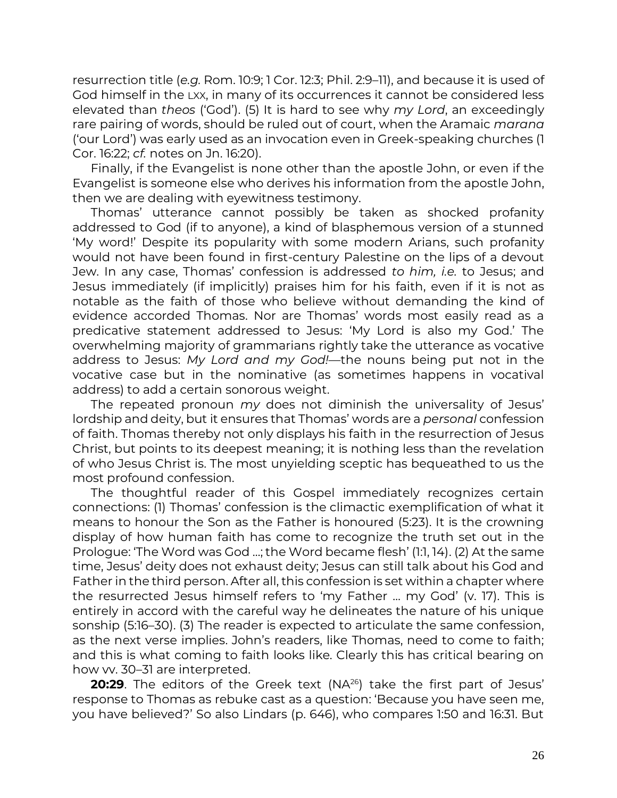resurrection title (*e.g.* Rom. 10:9; 1 Cor. 12:3; Phil. 2:9–11), and because it is used of God himself in the LXX, in many of its occurrences it cannot be considered less elevated than *theos* ('God'). (5) It is hard to see why *my Lord*, an exceedingly rare pairing of words, should be ruled out of court, when the Aramaic *marana* ('our Lord') was early used as an invocation even in Greek-speaking churches (1 Cor. 16:22; *cf.* notes on Jn. 16:20).

Finally, if the Evangelist is none other than the apostle John, or even if the Evangelist is someone else who derives his information from the apostle John, then we are dealing with eyewitness testimony.

Thomas' utterance cannot possibly be taken as shocked profanity addressed to God (if to anyone), a kind of blasphemous version of a stunned 'My word!' Despite its popularity with some modern Arians, such profanity would not have been found in first-century Palestine on the lips of a devout Jew. In any case, Thomas' confession is addressed *to him, i.e.* to Jesus; and Jesus immediately (if implicitly) praises him for his faith, even if it is not as notable as the faith of those who believe without demanding the kind of evidence accorded Thomas. Nor are Thomas' words most easily read as a predicative statement addressed to Jesus: 'My Lord is also my God.' The overwhelming majority of grammarians rightly take the utterance as vocative address to Jesus: *My Lord and my God!*—the nouns being put not in the vocative case but in the nominative (as sometimes happens in vocatival address) to add a certain sonorous weight.

The repeated pronoun *my* does not diminish the universality of Jesus' lordship and deity, but it ensures that Thomas' words are a *personal* confession of faith. Thomas thereby not only displays his faith in the resurrection of Jesus Christ, but points to its deepest meaning; it is nothing less than the revelation of who Jesus Christ is. The most unyielding sceptic has bequeathed to us the most profound confession.

The thoughtful reader of this Gospel immediately recognizes certain connections: (1) Thomas' confession is the climactic exemplification of what it means to honour the Son as the Father is honoured (5:23). It is the crowning display of how human faith has come to recognize the truth set out in the Prologue: 'The Word was God …; the Word became flesh' (1:1, 14). (2) At the same time, Jesus' deity does not exhaust deity; Jesus can still talk about his God and Father in the third person. After all, this confession is set within a chapter where the resurrected Jesus himself refers to 'my Father … my God' (v. 17). This is entirely in accord with the careful way he delineates the nature of his unique sonship (5:16–30). (3) The reader is expected to articulate the same confession, as the next verse implies. John's readers, like Thomas, need to come to faith; and this is what coming to faith looks like. Clearly this has critical bearing on how vv. 30–31 are interpreted.

**20:29**. The editors of the Greek text (NA<sup>26</sup>) take the first part of Jesus' response to Thomas as rebuke cast as a question: 'Because you have seen me, you have believed?' So also Lindars (p. 646), who compares 1:50 and 16:31. But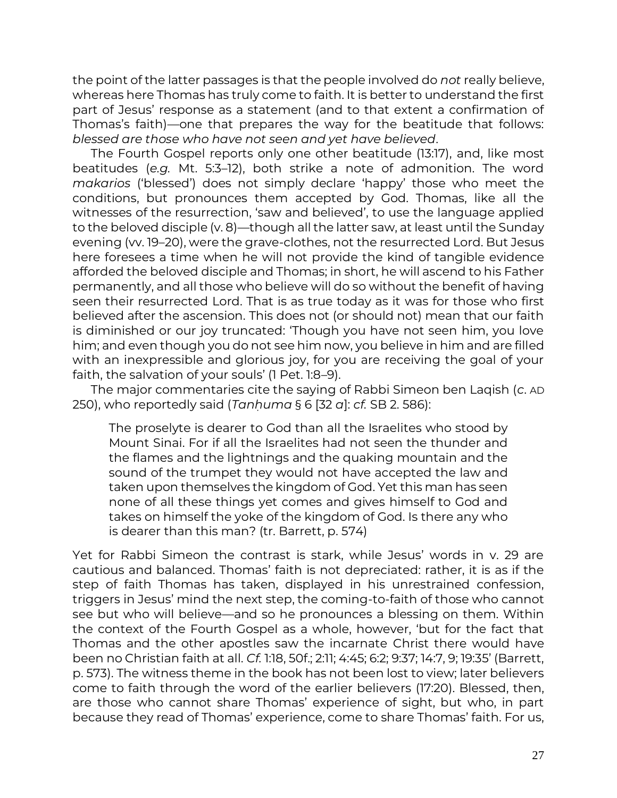the point of the latter passages is that the people involved do *not* really believe, whereas here Thomas has truly come to faith. It is better to understand the first part of Jesus' response as a statement (and to that extent a confirmation of Thomas's faith)—one that prepares the way for the beatitude that follows: *blessed are those who have not seen and yet have believed*.

The Fourth Gospel reports only one other beatitude (13:17), and, like most beatitudes (*e.g.* Mt. 5:3–12), both strike a note of admonition. The word *makarios* ('blessed') does not simply declare 'happy' those who meet the conditions, but pronounces them accepted by God. Thomas, like all the witnesses of the resurrection, 'saw and believed', to use the language applied to the beloved disciple (v. 8)—though all the latter saw, at least until the Sunday evening (vv. 19–20), were the grave-clothes, not the resurrected Lord. But Jesus here foresees a time when he will not provide the kind of tangible evidence afforded the beloved disciple and Thomas; in short, he will ascend to his Father permanently, and all those who believe will do so without the benefit of having seen their resurrected Lord. That is as true today as it was for those who first believed after the ascension. This does not (or should not) mean that our faith is diminished or our joy truncated: 'Though you have not seen him, you love him; and even though you do not see him now, you believe in him and are filled with an inexpressible and glorious joy, for you are receiving the goal of your faith, the salvation of your souls' (1 Pet. 1:8–9).

The major commentaries cite the saying of Rabbi Simeon ben Laqish (*c*. AD 250), who reportedly said (*Tanḥuma* § 6 [32 *a*]: *cf.* SB 2. 586):

The proselyte is dearer to God than all the Israelites who stood by Mount Sinai. For if all the Israelites had not seen the thunder and the flames and the lightnings and the quaking mountain and the sound of the trumpet they would not have accepted the law and taken upon themselves the kingdom of God. Yet this man has seen none of all these things yet comes and gives himself to God and takes on himself the yoke of the kingdom of God. Is there any who is dearer than this man? (tr. Barrett, p. 574)

Yet for Rabbi Simeon the contrast is stark, while Jesus' words in v. 29 are cautious and balanced. Thomas' faith is not depreciated: rather, it is as if the step of faith Thomas has taken, displayed in his unrestrained confession, triggers in Jesus' mind the next step, the coming-to-faith of those who cannot see but who will believe—and so he pronounces a blessing on them. Within the context of the Fourth Gospel as a whole, however, 'but for the fact that Thomas and the other apostles saw the incarnate Christ there would have been no Christian faith at all. *Cf.* 1:18, 50f.; 2:11; 4:45; 6:2; 9:37; 14:7, 9; 19:35' (Barrett, p. 573). The witness theme in the book has not been lost to view; later believers come to faith through the word of the earlier believers (17:20). Blessed, then, are those who cannot share Thomas' experience of sight, but who, in part because they read of Thomas' experience, come to share Thomas' faith. For us,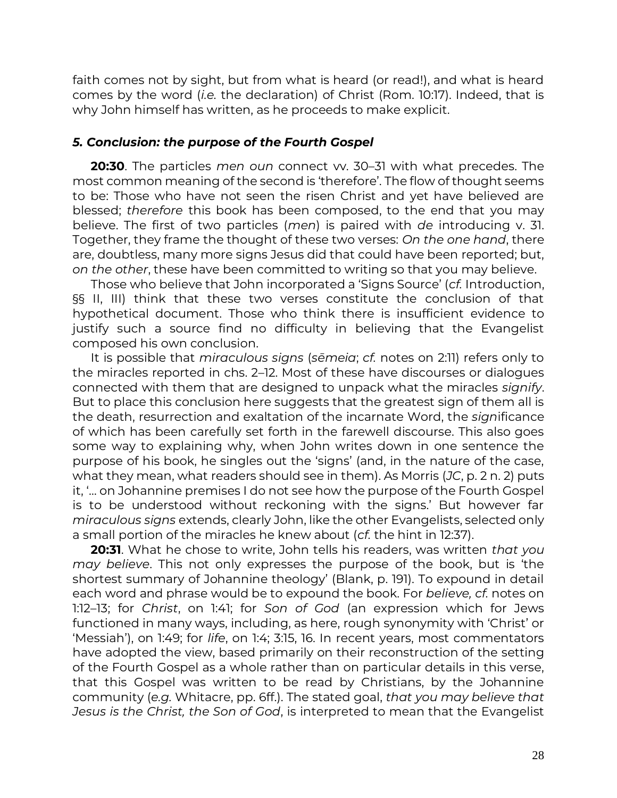faith comes not by sight, but from what is heard (or read!), and what is heard comes by the word (*i.e.* the declaration) of Christ (Rom. 10:17). Indeed, that is why John himself has written, as he proceeds to make explicit.

### *5. Conclusion: the purpose of the Fourth Gospel*

**20:30**. The particles *men oun* connect vv. 30–31 with what precedes. The most common meaning of the second is 'therefore'. The flow of thought seems to be: Those who have not seen the risen Christ and yet have believed are blessed; *therefore* this book has been composed, to the end that you may believe. The first of two particles (*men*) is paired with *de* introducing v. 31. Together, they frame the thought of these two verses: *On the one hand*, there are, doubtless, many more signs Jesus did that could have been reported; but, *on the other*, these have been committed to writing so that you may believe.

Those who believe that John incorporated a 'Signs Source' (*cf.* Introduction, §§ II, III) think that these two verses constitute the conclusion of that hypothetical document. Those who think there is insufficient evidence to justify such a source find no difficulty in believing that the Evangelist composed his own conclusion.

It is possible that *miraculous signs* (*sēmeia*; *cf.* notes on 2:11) refers only to the miracles reported in chs. 2–12. Most of these have discourses or dialogues connected with them that are designed to unpack what the miracles *signify*. But to place this conclusion here suggests that the greatest sign of them all is the death, resurrection and exaltation of the incarnate Word, the *sign*ificance of which has been carefully set forth in the farewell discourse. This also goes some way to explaining why, when John writes down in one sentence the purpose of his book, he singles out the 'signs' (and, in the nature of the case, what they mean, what readers should see in them). As Morris (*JC*, p. 2 n. 2) puts it, '… on Johannine premises I do not see how the purpose of the Fourth Gospel is to be understood without reckoning with the signs.' But however far *miraculous signs* extends, clearly John, like the other Evangelists, selected only a small portion of the miracles he knew about (*cf.* the hint in 12:37).

**20:31**. What he chose to write, John tells his readers, was written *that you may believe*. This not only expresses the purpose of the book, but is 'the shortest summary of Johannine theology' (Blank, p. 191). To expound in detail each word and phrase would be to expound the book. For *believe, cf.* notes on 1:12–13; for *Christ*, on 1:41; for *Son of God* (an expression which for Jews functioned in many ways, including, as here, rough synonymity with 'Christ' or 'Messiah'), on 1:49; for *life*, on 1:4; 3:15, 16. In recent years, most commentators have adopted the view, based primarily on their reconstruction of the setting of the Fourth Gospel as a whole rather than on particular details in this verse, that this Gospel was written to be read by Christians, by the Johannine community (*e.g.* Whitacre, pp. 6ff.). The stated goal, *that you may believe that Jesus is the Christ, the Son of God*, is interpreted to mean that the Evangelist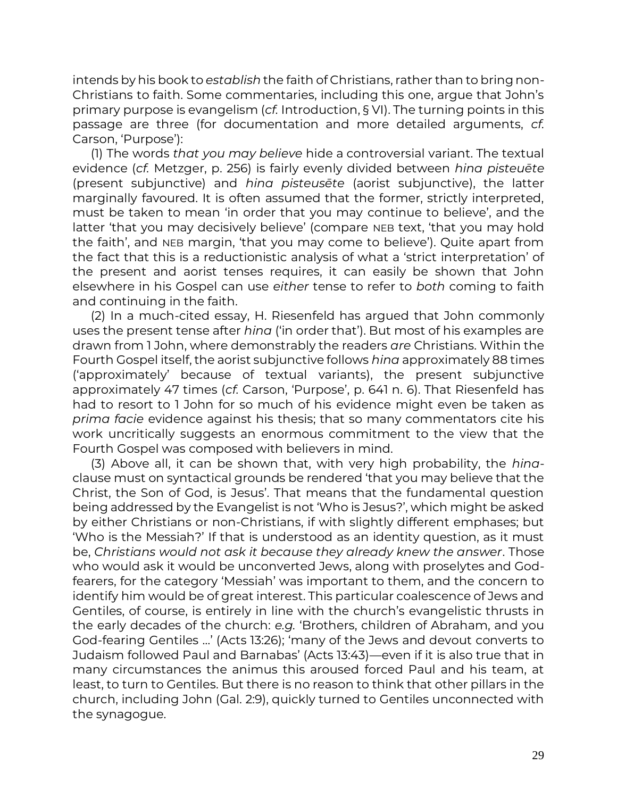intends by his book to *establish* the faith of Christians, rather than to bring non-Christians to faith. Some commentaries, including this one, argue that John's primary purpose is evangelism (*cf.* Introduction, § VI). The turning points in this passage are three (for documentation and more detailed arguments, *cf.* Carson, 'Purpose'):

(1) The words *that you may believe* hide a controversial variant. The textual evidence (*cf.* Metzger, p. 256) is fairly evenly divided between *hina pisteuēte* (present subjunctive) and *hina pisteusēte* (aorist subjunctive), the latter marginally favoured. It is often assumed that the former, strictly interpreted, must be taken to mean 'in order that you may continue to believe', and the latter 'that you may decisively believe' (compare NEB text, 'that you may hold the faith', and NEB margin, 'that you may come to believe'). Quite apart from the fact that this is a reductionistic analysis of what a 'strict interpretation' of the present and aorist tenses requires, it can easily be shown that John elsewhere in his Gospel can use *either* tense to refer to *both* coming to faith and continuing in the faith.

(2) In a much-cited essay, H. Riesenfeld has argued that John commonly uses the present tense after *hina* ('in order that'). But most of his examples are drawn from 1 John, where demonstrably the readers *are* Christians. Within the Fourth Gospel itself, the aorist subjunctive follows *hina* approximately 88 times ('approximately' because of textual variants), the present subjunctive approximately 47 times (*cf.* Carson, 'Purpose', p. 641 n. 6). That Riesenfeld has had to resort to 1 John for so much of his evidence might even be taken as *prima facie* evidence against his thesis; that so many commentators cite his work uncritically suggests an enormous commitment to the view that the Fourth Gospel was composed with believers in mind.

(3) Above all, it can be shown that, with very high probability, the *hina*clause must on syntactical grounds be rendered 'that you may believe that the Christ, the Son of God, is Jesus'. That means that the fundamental question being addressed by the Evangelist is not 'Who is Jesus?', which might be asked by either Christians or non-Christians, if with slightly different emphases; but 'Who is the Messiah?' If that is understood as an identity question, as it must be, *Christians would not ask it because they already knew the answer*. Those who would ask it would be unconverted Jews, along with proselytes and Godfearers, for the category 'Messiah' was important to them, and the concern to identify him would be of great interest. This particular coalescence of Jews and Gentiles, of course, is entirely in line with the church's evangelistic thrusts in the early decades of the church: *e.g.* 'Brothers, children of Abraham, and you God-fearing Gentiles …' (Acts 13:26); 'many of the Jews and devout converts to Judaism followed Paul and Barnabas' (Acts 13:43)—even if it is also true that in many circumstances the animus this aroused forced Paul and his team, at least, to turn to Gentiles. But there is no reason to think that other pillars in the church, including John (Gal. 2:9), quickly turned to Gentiles unconnected with the synagogue.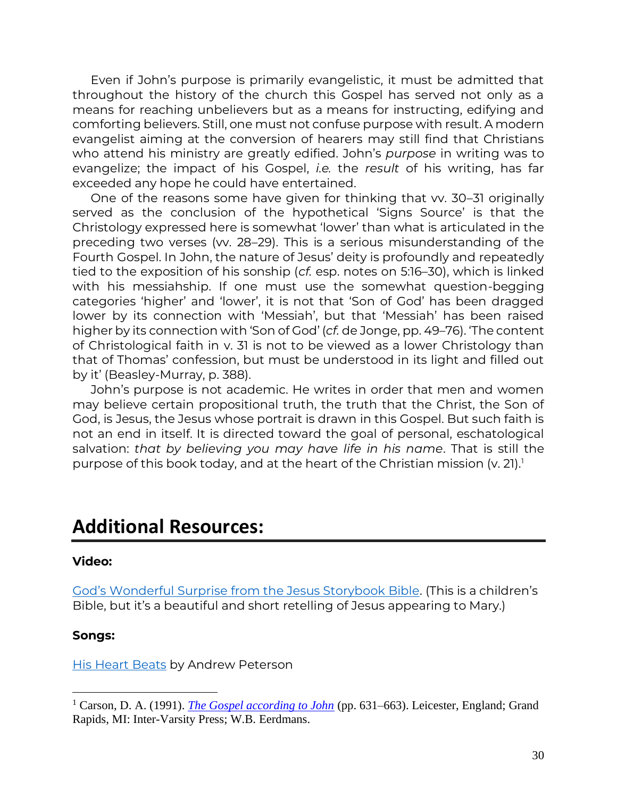Even if John's purpose is primarily evangelistic, it must be admitted that throughout the history of the church this Gospel has served not only as a means for reaching unbelievers but as a means for instructing, edifying and comforting believers. Still, one must not confuse purpose with result. A modern evangelist aiming at the conversion of hearers may still find that Christians who attend his ministry are greatly edified. John's *purpose* in writing was to evangelize; the impact of his Gospel, *i.e.* the *result* of his writing, has far exceeded any hope he could have entertained.

One of the reasons some have given for thinking that vv. 30–31 originally served as the conclusion of the hypothetical 'Signs Source' is that the Christology expressed here is somewhat 'lower' than what is articulated in the preceding two verses (vv. 28–29). This is a serious misunderstanding of the Fourth Gospel. In John, the nature of Jesus' deity is profoundly and repeatedly tied to the exposition of his sonship (*cf.* esp. notes on 5:16–30), which is linked with his messiahship. If one must use the somewhat question-begging categories 'higher' and 'lower', it is not that 'Son of God' has been dragged lower by its connection with 'Messiah', but that 'Messiah' has been raised higher by its connection with 'Son of God' (*cf.* de Jonge, pp. 49–76). 'The content of Christological faith in v. 31 is not to be viewed as a lower Christology than that of Thomas' confession, but must be understood in its light and filled out by it' (Beasley-Murray, p. 388).

John's purpose is not academic. He writes in order that men and women may believe certain propositional truth, the truth that the Christ, the Son of God, is Jesus, the Jesus whose portrait is drawn in this Gospel. But such faith is not an end in itself. It is directed toward the goal of personal, eschatological salvation: *that by believing you may have life in his name*. That is still the purpose of this book today, and at the heart of the Christian mission (v. 21).<sup>1</sup>

## **Additional Resources:**

#### **Video:**

[God's Wonderful Surprise from the Jesus Storybook Bible.](https://www.youtube.com/watch?v=Ur3PZoQEGGk) (This is a children's Bible, but it's a beautiful and short retelling of Jesus appearing to Mary.)

#### **Songs:**

**[His Heart Beats](https://www.youtube.com/watch?v=PaU3C5a2VUY) by Andrew Peterson** 

<sup>&</sup>lt;sup>1</sup> Carson, D. A. (1991). *[The Gospel according to John](https://ref.ly/logosres/pntcjohn?ref=Bible.Jn20.1-31&off=94909)* (pp. 631–663). Leicester, England; Grand Rapids, MI: Inter-Varsity Press; W.B. Eerdmans.